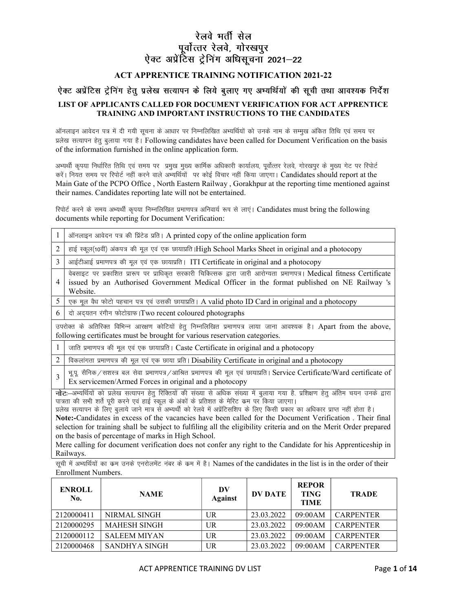## रेलवे भर्ती सेल पूर्वोत्तरं रेलवे, गोरखपुर<br>ऐक्ट अप्रेंटिस ट्रेनिंग अधिसूचना 2021–22

## ACT APPRENTICE TRAINING NOTIFICATION 2021-22

## ऐक्ट अप्रेंटिस ट्रेनिंग हेतू प्रलेख सत्यापन के लिये बुलाए गए अभ्यर्थियों की सूची तथा आवश्यक निर्देश

## LIST OF APPLICANTS CALLED FOR DOCUMENT VERIFICATION FOR ACT APPRENTICE TRAINING AND IMPORTANT INSTRUCTIONS TO THE CANDIDATES

ऑनलाइन आवेदन पत्र में दी गयी सूचना के आधार पर निम्नलिखित अभ्यर्थियों को उनके नाम के सम्मुख अंकित तिथि एवं समय पर प्रलेख सत्यापन हेतु बुलाया गया है। Following candidates have been called for Document Verification on the basis of the information furnished in the online application form.

अभ्यर्थी कृपया निर्धारित तिथि एवं समय पर प्रमुख मुख्य कार्मिक अधिकारी कार्यालय, पूर्वोत्तर रेलवे, गोरखपुर के मुख्य गेट पर रिपोर्ट करें। नियत समय पर रिपोर्ट नहीं करने वाले अम्यर्थियों पर कोई विचार नहीं किया जाएगा। Candidates should report at the Main Gate of the PCPO Office , North Eastern Railway , Gorakhpur at the reporting time mentioned against their names. Candidates reporting late will not be entertained.

रिपोर्ट करने के समय अभ्यर्थी कृपया निम्नलिखित प्रमाणपत्र अनिवार्य रूप से लाएं | Candidates must bring the following documents while reporting for Document Verification:

| $\mathbf{1}$   | ऑनलाइन आवेदन पत्र की प्रिंटेड प्रति। A printed copy of the online application form                                                                                                                                                                                                                                                                                                                                                                                                                                                                                                                                                                                                                                                                                                       |  |  |  |  |  |  |  |
|----------------|------------------------------------------------------------------------------------------------------------------------------------------------------------------------------------------------------------------------------------------------------------------------------------------------------------------------------------------------------------------------------------------------------------------------------------------------------------------------------------------------------------------------------------------------------------------------------------------------------------------------------------------------------------------------------------------------------------------------------------------------------------------------------------------|--|--|--|--|--|--|--|
| 2              | हाई स्कूल(10वीं) अंकपत्र की मूल एवं एक छायाप्रति  High School Marks Sheet in original and a photocopy                                                                                                                                                                                                                                                                                                                                                                                                                                                                                                                                                                                                                                                                                    |  |  |  |  |  |  |  |
| 3              | आईटीआई प्रमाणपत्र की मूल एवं एक छायाप्रति। ITI Certificate in original and a photocopy                                                                                                                                                                                                                                                                                                                                                                                                                                                                                                                                                                                                                                                                                                   |  |  |  |  |  |  |  |
| $\overline{4}$ | वेबसाइट पर प्रकाशित प्रारूप पर प्राधिकृत सरकारी चिकित्सक द्वारा जारी आरोग्यता प्रमाणपत्र। Medical fitness Certificate<br>issued by an Authorised Government Medical Officer in the format published on NE Railway 's<br>Website.                                                                                                                                                                                                                                                                                                                                                                                                                                                                                                                                                         |  |  |  |  |  |  |  |
| 5              | एक मूल वैध फोटो पहचान पत्र एवं उसकी छायाप्रति। A valid photo ID Card in original and a photocopy                                                                                                                                                                                                                                                                                                                                                                                                                                                                                                                                                                                                                                                                                         |  |  |  |  |  |  |  |
| 6              | दो अद्यतन रंगीन फोटोग्राफ। Two recent coloured photographs                                                                                                                                                                                                                                                                                                                                                                                                                                                                                                                                                                                                                                                                                                                               |  |  |  |  |  |  |  |
|                | उपरोक्त के अतिरिक्त विभिन्न आरक्षण कोटियों हेतु निम्नलिखित प्रमाणपत्र लाया जाना आवश्यक है। Apart from the above,<br>following certificates must be brought for various reservation categories.                                                                                                                                                                                                                                                                                                                                                                                                                                                                                                                                                                                           |  |  |  |  |  |  |  |
| -1             | जाति प्रमाणपत्र की मूल एवं एक छायाप्रति। Caste Certificate in original and a photocopy                                                                                                                                                                                                                                                                                                                                                                                                                                                                                                                                                                                                                                                                                                   |  |  |  |  |  |  |  |
| 2              | विकलांगता प्रमाणपत्र की मूल एवं एक छाया प्रति। Disability Certificate in original and a photocopy                                                                                                                                                                                                                                                                                                                                                                                                                                                                                                                                                                                                                                                                                        |  |  |  |  |  |  |  |
| $\mathbf{3}$   | भूपू सैनिक / सशस्त्र बल सेवा प्रमाणपत्र / आश्रित प्रमाणपत्र की मूल एवं छायाप्रति   Service Certificate/Ward certificate of<br>Ex servicemen/Armed Forces in original and a photocopy                                                                                                                                                                                                                                                                                                                                                                                                                                                                                                                                                                                                     |  |  |  |  |  |  |  |
|                | नोट:—अभ्यर्थियों को प्रलेख सत्यापन हेतु रिक्तियों की संख्या से अधिक संख्या में बुलाया गया है. प्रशिक्षण हेतु अंतिम चयन उनके द्वारा<br>पात्रता की सभी शर्ते पूरी करने एवं हाई स्कूल के अंकों के प्रतिशत के मेरिट कम पर किया जाएगा।<br>प्रलेख सत्यापन के लिए बुलाये जाने मात्र से अभ्यर्थी को रेलवे में अप्रेंटिसशिप के लिए किसी प्रकार का अधिकार प्राप्त नहीं होता है।<br>Note:-Candidates in excess of the vacancies have been called for the Document Verification. Their final<br>selection for training shall be subject to fulfiling all the eligibility criteria and on the Merit Order prepared<br>on the basis of percentage of marks in High School.<br>Mere calling for document verification does not confer any right to the Candidate for his Apprenticeship in<br>Railways. |  |  |  |  |  |  |  |
|                | सूची में अभ्यर्थियों का कम उनके एनरोलमेंट नंबर के कम में है। Names of the candidates in the list is in the order of their                                                                                                                                                                                                                                                                                                                                                                                                                                                                                                                                                                                                                                                                |  |  |  |  |  |  |  |
|                | Enrollment Numbers.                                                                                                                                                                                                                                                                                                                                                                                                                                                                                                                                                                                                                                                                                                                                                                      |  |  |  |  |  |  |  |

| <b>ENROLL</b><br>No. | <b>NAME</b>         | DV<br>Against | <b>DV DATE</b> | <b>REPOR</b><br><b>TING</b><br><b>TIME</b> | <b>TRADE</b>     |
|----------------------|---------------------|---------------|----------------|--------------------------------------------|------------------|
| 2120000411           | NIRMAL SINGH        | UR            | 23.03.2022     | 09:00AM                                    | <b>CARPENTER</b> |
| 2120000295           | <b>MAHESH SINGH</b> | UR            | 23.03.2022     | 09:00AM                                    | <b>CARPENTER</b> |
| 2120000112           | <b>SALEEM MIYAN</b> | UR            | 23.03.2022     | 09:00AM                                    | <b>CARPENTER</b> |
| 2120000468           | SANDHYA SINGH       | UR            | 23.03.2022     | 09:00AM                                    | <b>CARPENTER</b> |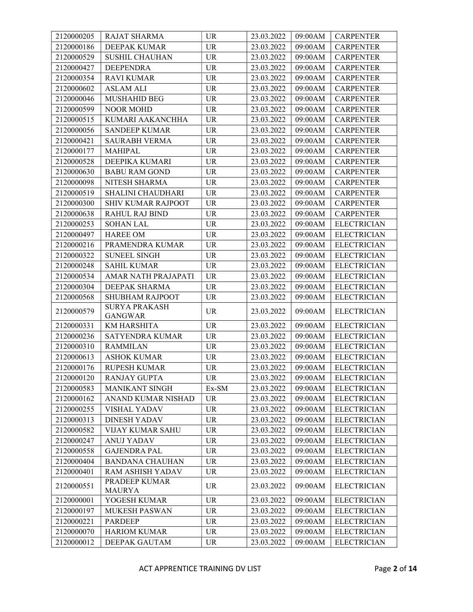| 2120000205 | RAJAT SHARMA                           | <b>UR</b>                         | 23.03.2022            | 09:00AM | <b>CARPENTER</b>   |
|------------|----------------------------------------|-----------------------------------|-----------------------|---------|--------------------|
| 2120000186 | <b>DEEPAK KUMAR</b>                    | <b>UR</b>                         | 23.03.2022            | 09:00AM | <b>CARPENTER</b>   |
| 2120000529 | <b>SUSHIL CHAUHAN</b>                  | <b>UR</b>                         | 23.03.2022            | 09:00AM | <b>CARPENTER</b>   |
| 2120000427 | <b>DEEPENDRA</b>                       | <b>UR</b>                         | 23.03.2022            | 09:00AM | <b>CARPENTER</b>   |
| 2120000354 | <b>RAVI KUMAR</b>                      | UR                                | 23.03.2022            | 09:00AM | <b>CARPENTER</b>   |
| 2120000602 | <b>ASLAM ALI</b>                       | <b>UR</b>                         | 23.03.2022            | 09:00AM | <b>CARPENTER</b>   |
| 2120000046 | <b>MUSHAHID BEG</b>                    | <b>UR</b>                         | 23.03.2022            | 09:00AM | <b>CARPENTER</b>   |
| 2120000599 | <b>NOOR MOHD</b>                       | <b>UR</b>                         | 23.03.2022            | 09:00AM | <b>CARPENTER</b>   |
| 2120000515 | KUMARI AAKANCHHA                       | <b>UR</b>                         | 23.03.2022            | 09:00AM | <b>CARPENTER</b>   |
| 2120000056 | <b>SANDEEP KUMAR</b>                   | <b>UR</b>                         | 23.03.2022            | 09:00AM | <b>CARPENTER</b>   |
| 2120000421 | <b>SAURABH VERMA</b>                   | <b>UR</b>                         | 23.03.2022            | 09:00AM | <b>CARPENTER</b>   |
| 2120000177 | <b>MAHIPAL</b>                         | <b>UR</b>                         | 23.03.2022            | 09:00AM | <b>CARPENTER</b>   |
| 2120000528 | DEEPIKA KUMARI                         | <b>UR</b>                         | 23.03.2022            | 09:00AM | <b>CARPENTER</b>   |
| 2120000630 | <b>BABU RAM GOND</b>                   | <b>UR</b>                         | 23.03.2022            | 09:00AM | <b>CARPENTER</b>   |
| 2120000098 | NITESH SHARMA                          | <b>UR</b>                         | 23.03.2022            | 09:00AM | <b>CARPENTER</b>   |
| 2120000519 | SHALINI CHAUDHARI                      | <b>UR</b>                         | 23.03.2022            | 09:00AM | <b>CARPENTER</b>   |
| 2120000300 | <b>SHIV KUMAR RAJPOOT</b>              | <b>UR</b>                         | 23.03.2022            | 09:00AM | <b>CARPENTER</b>   |
| 2120000638 | RAHUL RAJ BIND                         | <b>UR</b>                         | 23.03.2022            | 09:00AM | <b>CARPENTER</b>   |
| 2120000253 | <b>SOHAN LAL</b>                       | <b>UR</b>                         | 23.03.2022            | 09:00AM | <b>ELECTRICIAN</b> |
| 2120000497 | <b>HAREE OM</b>                        | <b>UR</b>                         | 23.03.2022            | 09:00AM | <b>ELECTRICIAN</b> |
| 2120000216 | PRAMENDRA KUMAR                        | UR                                | 23.03.2022            | 09:00AM | <b>ELECTRICIAN</b> |
| 2120000322 | <b>SUNEEL SINGH</b>                    | <b>UR</b>                         | 23.03.2022            | 09:00AM | <b>ELECTRICIAN</b> |
| 2120000248 | <b>SAHIL KUMAR</b>                     | <b>UR</b>                         | 23.03.2022            | 09:00AM | <b>ELECTRICIAN</b> |
| 2120000534 | AMAR NATH PRAJAPATI                    | <b>UR</b>                         | 23.03.2022            | 09:00AM | <b>ELECTRICIAN</b> |
| 2120000304 | DEEPAK SHARMA                          | <b>UR</b>                         | 23.03.2022            | 09:00AM | <b>ELECTRICIAN</b> |
| 2120000568 | SHUBHAM RAJPOOT                        | <b>UR</b>                         | 23.03.2022            | 09:00AM | <b>ELECTRICIAN</b> |
| 2120000579 | <b>SURYA PRAKASH</b><br><b>GANGWAR</b> | <b>UR</b>                         | 23.03.2022            | 09:00AM | <b>ELECTRICIAN</b> |
| 2120000331 | KM HARSHITA                            | <b>UR</b>                         | 23.03.2022            | 09:00AM | <b>ELECTRICIAN</b> |
| 2120000236 | SATYENDRA KUMAR                        | <b>UR</b>                         | 23.03.2022            | 09:00AM | <b>ELECTRICIAN</b> |
| 2120000310 | <b>RAMMILAN</b>                        | <b>UR</b>                         | 23.03.2022            | 09:00AM | <b>ELECTRICIAN</b> |
| 2120000613 | <b>ASHOK KUMAR</b>                     | <b>UR</b>                         | 23.03.2022            | 09:00AM | <b>ELECTRICIAN</b> |
| 2120000176 | RUPESH KUMAR                           | $\ensuremath{\mathsf{UR}}\xspace$ | 23.03.2022            | 09:00AM | <b>ELECTRICIAN</b> |
| 2120000120 | <b>RANJAY GUPTA</b>                    | UR                                | $23.03.2022$ 09:00 AM |         | <b>ELECTRICIAN</b> |
| 2120000583 | <b>MANIKANT SINGH</b>                  | Ex-SM                             | 23.03.2022            | 09:00AM | <b>ELECTRICIAN</b> |
| 2120000162 | ANAND KUMAR NISHAD                     | <b>UR</b>                         | 23.03.2022            | 09:00AM | <b>ELECTRICIAN</b> |
| 2120000255 | <b>VISHAL YADAV</b>                    | <b>UR</b>                         | 23.03.2022            | 09:00AM | <b>ELECTRICIAN</b> |
| 2120000313 | <b>DINESH YADAV</b>                    | <b>UR</b>                         | 23.03.2022            | 09:00AM | <b>ELECTRICIAN</b> |
| 2120000582 | <b>VIJAY KUMAR SAHU</b>                | <b>UR</b>                         | 23.03.2022            | 09:00AM | <b>ELECTRICIAN</b> |
| 2120000247 | <b>ANUJ YADAV</b>                      | <b>UR</b>                         | 23.03.2022            | 09:00AM | <b>ELECTRICIAN</b> |
| 2120000558 | <b>GAJENDRA PAL</b>                    | <b>UR</b>                         | 23.03.2022            | 09:00AM | <b>ELECTRICIAN</b> |
| 2120000404 | <b>BANDANA CHAUHAN</b>                 | <b>UR</b>                         | 23.03.2022            | 09:00AM | <b>ELECTRICIAN</b> |
| 2120000401 | <b>RAM ASHISH YADAV</b>                | <b>UR</b>                         | 23.03.2022            | 09:00AM | <b>ELECTRICIAN</b> |
| 2120000551 | PRADEEP KUMAR<br><b>MAURYA</b>         | <b>UR</b>                         | 23.03.2022            | 09:00AM | <b>ELECTRICIAN</b> |
| 2120000001 | YOGESH KUMAR                           | <b>UR</b>                         | 23.03.2022            | 09:00AM | <b>ELECTRICIAN</b> |
| 2120000197 | <b>MUKESH PASWAN</b>                   | $\ensuremath{\mathsf{UR}}\xspace$ | 23.03.2022            | 09:00AM | <b>ELECTRICIAN</b> |
| 2120000221 | <b>PARDEEP</b>                         | <b>UR</b>                         | 23.03.2022            | 09:00AM | <b>ELECTRICIAN</b> |
| 2120000070 | <b>HARIOM KUMAR</b>                    | <b>UR</b>                         | 23.03.2022            | 09:00AM | <b>ELECTRICIAN</b> |
| 2120000012 | DEEPAK GAUTAM                          | <b>UR</b>                         | 23.03.2022            | 09:00AM | <b>ELECTRICIAN</b> |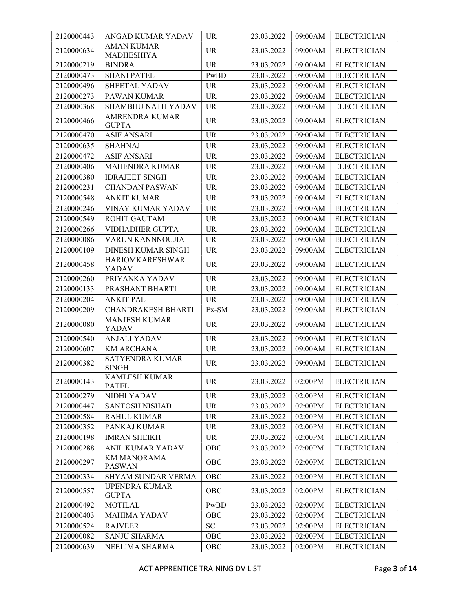| 2120000443 | ANGAD KUMAR YADAV                      | <b>UR</b>  | 23.03.2022 | 09:00AM | <b>ELECTRICIAN</b> |
|------------|----------------------------------------|------------|------------|---------|--------------------|
| 2120000634 | <b>AMAN KUMAR</b><br><b>MADHESHIYA</b> | <b>UR</b>  | 23.03.2022 | 09:00AM | <b>ELECTRICIAN</b> |
| 2120000219 | <b>BINDRA</b>                          | <b>UR</b>  | 23.03.2022 | 09:00AM | <b>ELECTRICIAN</b> |
| 2120000473 | <b>SHANI PATEL</b>                     | PwBD       | 23.03.2022 | 09:00AM | <b>ELECTRICIAN</b> |
| 2120000496 | SHEETAL YADAV                          | <b>UR</b>  | 23.03.2022 | 09:00AM | <b>ELECTRICIAN</b> |
| 2120000273 | PAWAN KUMAR                            | <b>UR</b>  | 23.03.2022 | 09:00AM | <b>ELECTRICIAN</b> |
| 2120000368 | SHAMBHU NATH YADAV                     | <b>UR</b>  | 23.03.2022 | 09:00AM | <b>ELECTRICIAN</b> |
| 2120000466 | AMRENDRA KUMAR<br><b>GUPTA</b>         | <b>UR</b>  | 23.03.2022 | 09:00AM | <b>ELECTRICIAN</b> |
| 2120000470 | <b>ASIF ANSARI</b>                     | <b>UR</b>  | 23.03.2022 | 09:00AM | <b>ELECTRICIAN</b> |
| 2120000635 | <b>SHAHNAJ</b>                         | <b>UR</b>  | 23.03.2022 | 09:00AM | <b>ELECTRICIAN</b> |
| 2120000472 | <b>ASIF ANSARI</b>                     | <b>UR</b>  | 23.03.2022 | 09:00AM | <b>ELECTRICIAN</b> |
| 2120000406 | MAHENDRA KUMAR                         | <b>UR</b>  | 23.03.2022 | 09:00AM | <b>ELECTRICIAN</b> |
| 2120000380 | <b>IDRAJEET SINGH</b>                  | <b>UR</b>  | 23.03.2022 | 09:00AM | <b>ELECTRICIAN</b> |
| 2120000231 | <b>CHANDAN PASWAN</b>                  | <b>UR</b>  | 23.03.2022 | 09:00AM | <b>ELECTRICIAN</b> |
| 2120000548 | <b>ANKIT KUMAR</b>                     | <b>UR</b>  | 23.03.2022 | 09:00AM | <b>ELECTRICIAN</b> |
| 2120000246 | VINAY KUMAR YADAV                      | <b>UR</b>  | 23.03.2022 | 09:00AM | <b>ELECTRICIAN</b> |
| 2120000549 | ROHIT GAUTAM                           | <b>UR</b>  | 23.03.2022 | 09:00AM | <b>ELECTRICIAN</b> |
| 2120000266 | <b>VIDHADHER GUPTA</b>                 | <b>UR</b>  | 23.03.2022 | 09:00AM | <b>ELECTRICIAN</b> |
| 2120000086 | VARUN KANNNOUJIA                       | <b>UR</b>  | 23.03.2022 | 09:00AM | <b>ELECTRICIAN</b> |
| 2120000109 | <b>DINESH KUMAR SINGH</b>              | <b>UR</b>  | 23.03.2022 | 09:00AM | <b>ELECTRICIAN</b> |
|            | HARIOMKARESHWAR                        |            |            |         |                    |
| 2120000458 | YADAV                                  | <b>UR</b>  | 23.03.2022 | 09:00AM | <b>ELECTRICIAN</b> |
| 2120000260 | PRIYANKA YADAV                         | <b>UR</b>  | 23.03.2022 | 09:00AM | <b>ELECTRICIAN</b> |
| 2120000133 | PRASHANT BHARTI                        | <b>UR</b>  | 23.03.2022 | 09:00AM | <b>ELECTRICIAN</b> |
| 2120000204 | <b>ANKIT PAL</b>                       | <b>UR</b>  | 23.03.2022 | 09:00AM | <b>ELECTRICIAN</b> |
| 2120000209 | <b>CHANDRAKESH BHARTI</b>              | Ex-SM      | 23.03.2022 | 09:00AM | <b>ELECTRICIAN</b> |
| 2120000080 | <b>MANJESH KUMAR</b><br>YADAV          | <b>UR</b>  | 23.03.2022 | 09:00AM | <b>ELECTRICIAN</b> |
| 2120000540 | <b>ANJALI YADAV</b>                    | <b>UR</b>  | 23.03.2022 | 09:00AM | <b>ELECTRICIAN</b> |
| 2120000607 | <b>KM ARCHANA</b>                      | <b>UR</b>  | 23.03.2022 | 09:00AM | <b>ELECTRICIAN</b> |
| 2120000382 | <b>SATYENDRA KUMAR</b><br><b>SINGH</b> | <b>UR</b>  | 23.03.2022 | 09:00AM | <b>ELECTRICIAN</b> |
| 2120000143 | <b>KAMLESH KUMAR</b><br><b>PATEL</b>   | <b>UR</b>  | 23.03.2022 | 02:00PM | <b>ELECTRICIAN</b> |
| 2120000279 | NIDHI YADAV                            | <b>UR</b>  | 23.03.2022 | 02:00PM | <b>ELECTRICIAN</b> |
| 2120000447 | <b>SANTOSH NISHAD</b>                  | <b>UR</b>  | 23.03.2022 | 02:00PM | <b>ELECTRICIAN</b> |
| 2120000584 | <b>RAHUL KUMAR</b>                     | <b>UR</b>  | 23.03.2022 | 02:00PM | <b>ELECTRICIAN</b> |
| 2120000352 | PANKAJ KUMAR                           | <b>UR</b>  | 23.03.2022 | 02:00PM | <b>ELECTRICIAN</b> |
| 2120000198 | <b>IMRAN SHEIKH</b>                    | <b>UR</b>  | 23.03.2022 | 02:00PM | <b>ELECTRICIAN</b> |
| 2120000288 | ANIL KUMAR YADAV                       | OBC        | 23.03.2022 | 02:00PM | <b>ELECTRICIAN</b> |
| 2120000297 | <b>KM MANORAMA</b><br><b>PASWAN</b>    | OBC        | 23.03.2022 | 02:00PM | <b>ELECTRICIAN</b> |
| 2120000334 | <b>SHYAM SUNDAR VERMA</b>              | OBC        | 23.03.2022 | 02:00PM | <b>ELECTRICIAN</b> |
| 2120000557 | UPENDRA KUMAR<br><b>GUPTA</b>          | <b>OBC</b> | 23.03.2022 | 02:00PM | <b>ELECTRICIAN</b> |
| 2120000492 | <b>MOTILAL</b>                         | PwBD       | 23.03.2022 | 02:00PM | <b>ELECTRICIAN</b> |
| 2120000403 | <b>MAHIMA YADAV</b>                    | OBC        | 23.03.2022 | 02:00PM | <b>ELECTRICIAN</b> |
| 2120000524 | <b>RAJVEER</b>                         | SC         | 23.03.2022 | 02:00PM | <b>ELECTRICIAN</b> |
| 2120000082 | <b>SANJU SHARMA</b>                    | OBC        | 23.03.2022 | 02:00PM | <b>ELECTRICIAN</b> |
| 2120000639 | NEELIMA SHARMA                         | OBC        | 23.03.2022 | 02:00PM | <b>ELECTRICIAN</b> |
|            |                                        |            |            |         |                    |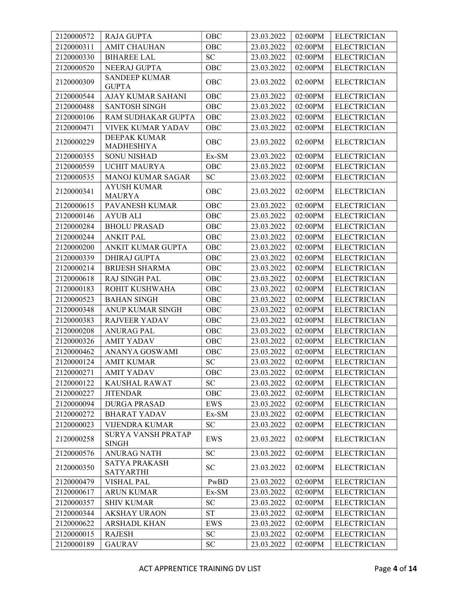| 2120000572 | <b>RAJA GUPTA</b>                         | OBC                        | 23.03.2022 | 02:00PM | <b>ELECTRICIAN</b> |
|------------|-------------------------------------------|----------------------------|------------|---------|--------------------|
| 2120000311 | <b>AMIT CHAUHAN</b>                       | OBC                        | 23.03.2022 | 02:00PM | <b>ELECTRICIAN</b> |
| 2120000330 | <b>BIHAREE LAL</b>                        | ${\rm SC}$                 | 23.03.2022 | 02:00PM | <b>ELECTRICIAN</b> |
| 2120000520 | NEERAJ GUPTA                              | OBC                        | 23.03.2022 | 02:00PM | <b>ELECTRICIAN</b> |
| 2120000309 | <b>SANDEEP KUMAR</b><br><b>GUPTA</b>      | OBC                        | 23.03.2022 | 02:00PM | <b>ELECTRICIAN</b> |
| 2120000544 | AJAY KUMAR SAHANI                         | OBC                        | 23.03.2022 | 02:00PM | <b>ELECTRICIAN</b> |
| 2120000488 | <b>SANTOSH SINGH</b>                      | OBC                        | 23.03.2022 | 02:00PM | <b>ELECTRICIAN</b> |
| 2120000106 | RAM SUDHAKAR GUPTA                        | OBC                        | 23.03.2022 | 02:00PM | <b>ELECTRICIAN</b> |
| 2120000471 | VIVEK KUMAR YADAV                         | OBC                        | 23.03.2022 | 02:00PM | <b>ELECTRICIAN</b> |
| 2120000229 | <b>DEEPAK KUMAR</b><br>MADHESHIYA         | OBC                        | 23.03.2022 | 02:00PM | <b>ELECTRICIAN</b> |
| 2120000355 | <b>SONU NISHAD</b>                        | Ex-SM                      | 23.03.2022 | 02:00PM | <b>ELECTRICIAN</b> |
| 2120000559 | <b>UCHIT MAURYA</b>                       | OBC                        | 23.03.2022 | 02:00PM | <b>ELECTRICIAN</b> |
| 2120000535 | MANOJ KUMAR SAGAR                         | ${\rm SC}$                 | 23.03.2022 | 02:00PM | <b>ELECTRICIAN</b> |
| 2120000341 | <b>AYUSH KUMAR</b><br><b>MAURYA</b>       | OBC                        | 23.03.2022 | 02:00PM | <b>ELECTRICIAN</b> |
| 2120000615 | PAVANESH KUMAR                            | OBC                        | 23.03.2022 | 02:00PM | <b>ELECTRICIAN</b> |
| 2120000146 | <b>AYUB ALI</b>                           | OBC                        | 23.03.2022 | 02:00PM | <b>ELECTRICIAN</b> |
| 2120000284 | <b>BHOLU PRASAD</b>                       | OBC                        | 23.03.2022 | 02:00PM | <b>ELECTRICIAN</b> |
| 2120000244 | <b>ANKIT PAL</b>                          | OBC                        | 23.03.2022 | 02:00PM | <b>ELECTRICIAN</b> |
| 2120000200 | ANKIT KUMAR GUPTA                         | OBC                        | 23.03.2022 | 02:00PM | <b>ELECTRICIAN</b> |
| 2120000339 | <b>DHIRAJ GUPTA</b>                       | OBC                        | 23.03.2022 | 02:00PM | <b>ELECTRICIAN</b> |
| 2120000214 | <b>BRIJESH SHARMA</b>                     | OBC                        | 23.03.2022 | 02:00PM | <b>ELECTRICIAN</b> |
| 2120000618 | <b>RAJ SINGH PAL</b>                      | OBC                        | 23.03.2022 | 02:00PM | <b>ELECTRICIAN</b> |
| 2120000183 | ROHIT KUSHWAHA                            | OBC                        | 23.03.2022 | 02:00PM | <b>ELECTRICIAN</b> |
| 2120000523 | <b>BAHAN SINGH</b>                        | OBC                        | 23.03.2022 | 02:00PM | <b>ELECTRICIAN</b> |
| 2120000348 | ANUP KUMAR SINGH                          | OBC                        | 23.03.2022 | 02:00PM | <b>ELECTRICIAN</b> |
| 2120000383 | <b>RAJVEER YADAV</b>                      | OBC                        | 23.03.2022 | 02:00PM | <b>ELECTRICIAN</b> |
| 2120000208 | <b>ANURAG PAL</b>                         | OBC                        | 23.03.2022 | 02:00PM | <b>ELECTRICIAN</b> |
| 2120000326 | <b>AMIT YADAV</b>                         | OBC                        | 23.03.2022 | 02:00PM | <b>ELECTRICIAN</b> |
| 2120000462 | ANANYA GOSWAMI                            | OBC                        | 23.03.2022 | 02:00PM | <b>ELECTRICIAN</b> |
| 2120000124 | <b>AMIT KUMAR</b>                         | <b>SC</b>                  | 23.03.2022 | 02:00PM | <b>ELECTRICIAN</b> |
| 2120000271 | <b>AMIT YADAV</b>                         | OBC                        | 23.03.2022 | 02:00PM | <b>ELECTRICIAN</b> |
| 2120000122 | KAUSHAL RAWAT                             | $\ensuremath{\mathbf{SC}}$ | 23.03.2022 | 02:00PM | <b>ELECTRICIAN</b> |
| 2120000227 | <b>JITENDAR</b>                           | OBC                        | 23.03.2022 | 02:00PM | <b>ELECTRICIAN</b> |
| 2120000094 | <b>DURGA PRASAD</b>                       | EWS                        | 23.03.2022 | 02:00PM | <b>ELECTRICIAN</b> |
| 2120000272 | <b>BHARAT YADAV</b>                       | Ex-SM                      | 23.03.2022 | 02:00PM | <b>ELECTRICIAN</b> |
| 2120000023 | <b>VIJENDRA KUMAR</b>                     | $\ensuremath{\mathbf{SC}}$ | 23.03.2022 | 02:00PM | <b>ELECTRICIAN</b> |
| 2120000258 | <b>SURYA VANSH PRATAP</b><br><b>SINGH</b> | EWS                        | 23.03.2022 | 02:00PM | <b>ELECTRICIAN</b> |
| 2120000576 | <b>ANURAG NATH</b>                        | <b>SC</b>                  | 23.03.2022 | 02:00PM | <b>ELECTRICIAN</b> |
| 2120000350 | <b>SATYA PRAKASH</b><br><b>SATYARTHI</b>  | <b>SC</b>                  | 23.03.2022 | 02:00PM | <b>ELECTRICIAN</b> |
| 2120000479 | <b>VISHAL PAL</b>                         | PwBD                       | 23.03.2022 | 02:00PM | <b>ELECTRICIAN</b> |
| 2120000617 | <b>ARUN KUMAR</b>                         | Ex-SM                      | 23.03.2022 | 02:00PM | <b>ELECTRICIAN</b> |
| 2120000357 | <b>SHIV KUMAR</b>                         | <b>SC</b>                  | 23.03.2022 | 02:00PM | <b>ELECTRICIAN</b> |
| 2120000344 | <b>AKSHAY URAON</b>                       | <b>ST</b>                  | 23.03.2022 | 02:00PM | <b>ELECTRICIAN</b> |
| 2120000622 | <b>ARSHADL KHAN</b>                       | EWS                        | 23.03.2022 | 02:00PM | <b>ELECTRICIAN</b> |
| 2120000015 | <b>RAJESH</b>                             | ${\rm SC}$                 | 23.03.2022 | 02:00PM | <b>ELECTRICIAN</b> |
| 2120000189 | <b>GAURAV</b>                             | <b>SC</b>                  | 23.03.2022 | 02:00PM | <b>ELECTRICIAN</b> |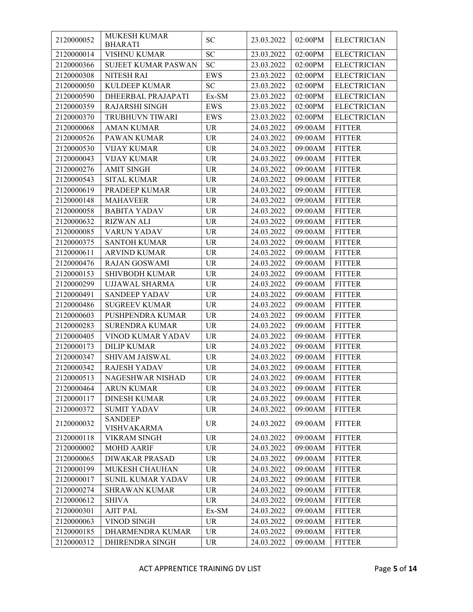| 2120000052 | <b>MUKESH KUMAR</b><br><b>BHARATI</b> | <b>SC</b>  | 23.03.2022           | 02:00PM | <b>ELECTRICIAN</b> |
|------------|---------------------------------------|------------|----------------------|---------|--------------------|
| 2120000014 | <b>VISHNU KUMAR</b>                   | <b>SC</b>  | 23.03.2022           | 02:00PM | <b>ELECTRICIAN</b> |
| 2120000366 | <b>SUJEET KUMAR PASWAN</b>            | <b>SC</b>  | 23.03.2022           | 02:00PM | <b>ELECTRICIAN</b> |
| 2120000308 | <b>NITESH RAI</b>                     | <b>EWS</b> | 23.03.2022           | 02:00PM | <b>ELECTRICIAN</b> |
| 2120000050 | KULDEEP KUMAR                         | <b>SC</b>  | 23.03.2022           | 02:00PM | <b>ELECTRICIAN</b> |
| 2120000590 | DHEERBAL PRAJAPATI                    | Ex-SM      | 23.03.2022           | 02:00PM | <b>ELECTRICIAN</b> |
| 2120000359 | <b>RAJARSHI SINGH</b>                 | <b>EWS</b> | 23.03.2022           | 02:00PM | <b>ELECTRICIAN</b> |
| 2120000370 | TRUBHUVN TIWARI                       | <b>EWS</b> | 23.03.2022           | 02:00PM | <b>ELECTRICIAN</b> |
| 2120000068 | <b>AMAN KUMAR</b>                     | <b>UR</b>  | 24.03.2022           | 09:00AM | <b>FITTER</b>      |
| 2120000526 | PAWAN KUMAR                           | <b>UR</b>  | 24.03.2022           | 09:00AM | <b>FITTER</b>      |
| 2120000530 | <b>VIJAY KUMAR</b>                    | <b>UR</b>  | 24.03.2022           | 09:00AM | <b>FITTER</b>      |
| 2120000043 | <b>VIJAY KUMAR</b>                    | <b>UR</b>  | 24.03.2022           | 09:00AM | <b>FITTER</b>      |
| 2120000276 | <b>AMIT SINGH</b>                     | <b>UR</b>  | 24.03.2022           | 09:00AM | <b>FITTER</b>      |
| 2120000543 | <b>SITAL KUMAR</b>                    | UR         | 24.03.2022           | 09:00AM | <b>FITTER</b>      |
| 2120000619 | PRADEEP KUMAR                         | <b>UR</b>  | 24.03.2022           | 09:00AM | <b>FITTER</b>      |
| 2120000148 | <b>MAHAVEER</b>                       | <b>UR</b>  | 24.03.2022           | 09:00AM | <b>FITTER</b>      |
| 2120000058 | <b>BABITA YADAV</b>                   | <b>UR</b>  | 24.03.2022           | 09:00AM | <b>FITTER</b>      |
| 2120000632 | <b>RIZWAN ALI</b>                     | <b>UR</b>  | 24.03.2022           | 09:00AM | <b>FITTER</b>      |
| 2120000085 | VARUN YADAV                           | <b>UR</b>  | 24.03.2022           | 09:00AM | <b>FITTER</b>      |
| 2120000375 | <b>SANTOH KUMAR</b>                   | <b>UR</b>  | 24.03.2022           | 09:00AM | <b>FITTER</b>      |
| 2120000611 | <b>ARVIND KUMAR</b>                   | <b>UR</b>  | 24.03.2022           | 09:00AM | <b>FITTER</b>      |
| 2120000476 | <b>RAJAN GOSWAMI</b>                  | <b>UR</b>  | 24.03.2022           | 09:00AM | <b>FITTER</b>      |
| 2120000153 | <b>SHIVBODH KUMAR</b>                 | UR         | 24.03.2022           | 09:00AM | <b>FITTER</b>      |
| 2120000299 | <b>UJJAWAL SHARMA</b>                 | <b>UR</b>  | 24.03.2022           | 09:00AM | <b>FITTER</b>      |
| 2120000491 | <b>SANDEEP YADAV</b>                  | <b>UR</b>  | 24.03.2022           | 09:00AM | <b>FITTER</b>      |
| 2120000486 | <b>SUGREEV KUMAR</b>                  | <b>UR</b>  | 24.03.2022           | 09:00AM | <b>FITTER</b>      |
| 2120000603 | PUSHPENDRA KUMAR                      | <b>UR</b>  | 24.03.2022           | 09:00AM | <b>FITTER</b>      |
| 2120000283 | <b>SURENDRA KUMAR</b>                 | <b>UR</b>  | 24.03.2022           | 09:00AM | <b>FITTER</b>      |
| 2120000405 | VINOD KUMAR YADAV                     | <b>UR</b>  | 24.03.2022           | 09:00AM | <b>FITTER</b>      |
| 2120000173 | <b>DILIP KUMAR</b>                    | <b>UR</b>  | 24.03.2022           | 09:00AM | <b>FITTER</b>      |
| 2120000347 | SHIVAM JAISWAL                        | <b>UR</b>  | 24.03.2022           | 09:00AM | <b>FITTER</b>      |
| 2120000342 | <b>RAJESH YADAV</b>                   | <b>UR</b>  | 24.03.2022           | 09:00AM | <b>FITTER</b>      |
| 2120000513 | NAGESHWAR NISHAD                      | <b>UR</b>  | $24.03.2022$ 09:00AM |         | <b>FITTER</b>      |
| 2120000464 | <b>ARUN KUMAR</b>                     | <b>UR</b>  | 24.03.2022           | 09:00AM | <b>FITTER</b>      |
| 2120000117 | <b>DINESH KUMAR</b>                   | <b>UR</b>  | 24.03.2022           | 09:00AM | <b>FITTER</b>      |
| 2120000372 | <b>SUMIT YADAV</b>                    | <b>UR</b>  | 24.03.2022           | 09:00AM | <b>FITTER</b>      |
| 2120000032 | <b>SANDEEP</b><br><b>VISHVAKARMA</b>  | <b>UR</b>  | 24.03.2022           | 09:00AM | <b>FITTER</b>      |
| 2120000118 | VIKRAM SINGH                          | <b>UR</b>  | 24.03.2022           | 09:00AM | <b>FITTER</b>      |
| 2120000002 | <b>MOHD AARIF</b>                     | <b>UR</b>  | 24.03.2022           | 09:00AM | <b>FITTER</b>      |
| 2120000065 | <b>DIWAKAR PRASAD</b>                 | <b>UR</b>  | 24.03.2022           | 09:00AM | <b>FITTER</b>      |
| 2120000199 | MUKESH CHAUHAN                        | <b>UR</b>  | 24.03.2022           | 09:00AM | <b>FITTER</b>      |
| 2120000017 | <b>SUNIL KUMAR YADAV</b>              | <b>UR</b>  | 24.03.2022           | 09:00AM | <b>FITTER</b>      |
| 2120000274 | <b>SHRAWAN KUMAR</b>                  | UR         | 24.03.2022           | 09:00AM | <b>FITTER</b>      |
| 2120000612 | <b>SHIVA</b>                          | <b>UR</b>  | 24.03.2022           | 09:00AM | <b>FITTER</b>      |
| 2120000301 | <b>AJIT PAL</b>                       | Ex-SM      | 24.03.2022           | 09:00AM | <b>FITTER</b>      |
| 2120000063 | VINOD SINGH                           | <b>UR</b>  | 24.03.2022           | 09:00AM | <b>FITTER</b>      |
| 2120000185 | DHARMENDRA KUMAR                      | UR         | 24.03.2022           | 09:00AM | <b>FITTER</b>      |
| 2120000312 | DHIRENDRA SINGH                       | UR         | 24.03.2022           | 09:00AM | <b>FITTER</b>      |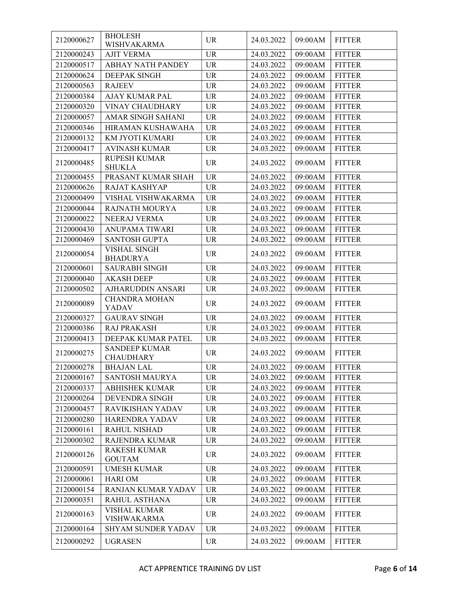| 2120000627 | <b>BHOLESH</b><br>WISHVAKARMA            | <b>UR</b> | 24.03.2022            | 09:00AM | <b>FITTER</b> |
|------------|------------------------------------------|-----------|-----------------------|---------|---------------|
| 2120000243 | <b>AJIT VERMA</b>                        | <b>UR</b> | 24.03.2022            | 09:00AM | <b>FITTER</b> |
| 2120000517 | <b>ABHAY NATH PANDEY</b>                 | <b>UR</b> | 24.03.2022            | 09:00AM | <b>FITTER</b> |
| 2120000624 | <b>DEEPAK SINGH</b>                      | <b>UR</b> | 24.03.2022            | 09:00AM | <b>FITTER</b> |
| 2120000563 | <b>RAJEEV</b>                            | <b>UR</b> | 24.03.2022            | 09:00AM | <b>FITTER</b> |
| 2120000384 | <b>AJAY KUMAR PAL</b>                    | <b>UR</b> | 24.03.2022            | 09:00AM | <b>FITTER</b> |
| 2120000320 | <b>VINAY CHAUDHARY</b>                   | <b>UR</b> | 24.03.2022            | 09:00AM | <b>FITTER</b> |
| 2120000057 | AMAR SINGH SAHANI                        | <b>UR</b> | 24.03.2022            | 09:00AM | <b>FITTER</b> |
| 2120000346 | HIRAMAN KUSHAWAHA                        | <b>UR</b> | 24.03.2022            | 09:00AM | <b>FITTER</b> |
| 2120000132 | KM JYOTI KUMARI                          | <b>UR</b> | 24.03.2022            | 09:00AM | <b>FITTER</b> |
| 2120000417 | <b>AVINASH KUMAR</b>                     | <b>UR</b> | 24.03.2022            | 09:00AM | <b>FITTER</b> |
|            | RUPESH KUMAR                             |           |                       |         |               |
| 2120000485 | <b>SHUKLA</b>                            | <b>UR</b> | 24.03.2022            | 09:00AM | <b>FITTER</b> |
| 2120000455 | PRASANT KUMAR SHAH                       | <b>UR</b> | 24.03.2022            | 09:00AM | <b>FITTER</b> |
| 2120000626 | <b>RAJAT KASHYAP</b>                     | <b>UR</b> | 24.03.2022            | 09:00AM | <b>FITTER</b> |
| 2120000499 | VISHAL VISHWAKARMA                       | <b>UR</b> | 24.03.2022            | 09:00AM | <b>FITTER</b> |
| 2120000044 | <b>RAJNATH MOURYA</b>                    | <b>UR</b> | 24.03.2022            | 09:00AM | <b>FITTER</b> |
| 2120000022 | NEERAJ VERMA                             | <b>UR</b> | 24.03.2022            | 09:00AM | <b>FITTER</b> |
| 2120000430 | <b>ANUPAMA TIWARI</b>                    | <b>UR</b> | 24.03.2022            | 09:00AM | <b>FITTER</b> |
| 2120000469 | <b>SANTOSH GUPTA</b>                     | <b>UR</b> | 24.03.2022            | 09:00AM | <b>FITTER</b> |
| 2120000054 | <b>VISHAL SINGH</b><br><b>BHADURYA</b>   | <b>UR</b> | 24.03.2022            | 09:00AM | <b>FITTER</b> |
| 2120000601 | <b>SAURABH SINGH</b>                     | <b>UR</b> | 24.03.2022            | 09:00AM | <b>FITTER</b> |
| 2120000040 | <b>AKASH DEEP</b>                        | <b>UR</b> | 24.03.2022            | 09:00AM | <b>FITTER</b> |
| 2120000502 | AJHARUDDIN ANSARI                        | <b>UR</b> | 24.03.2022            | 09:00AM | <b>FITTER</b> |
| 2120000089 | <b>CHANDRA MOHAN</b><br><b>YADAV</b>     | <b>UR</b> | 24.03.2022            | 09:00AM | <b>FITTER</b> |
| 2120000327 | <b>GAURAV SINGH</b>                      | <b>UR</b> | 24.03.2022            | 09:00AM | <b>FITTER</b> |
| 2120000386 | <b>RAJ PRAKASH</b>                       | <b>UR</b> | 24.03.2022            | 09:00AM | <b>FITTER</b> |
| 2120000413 | DEEPAK KUMAR PATEL                       | <b>UR</b> | 24.03.2022            | 09:00AM | <b>FITTER</b> |
| 2120000275 | <b>SANDEEP KUMAR</b><br><b>CHAUDHARY</b> | <b>UR</b> | 24.03.2022            | 09:00AM | <b>FITTER</b> |
| 2120000278 | <b>BHAJAN LAL</b>                        | <b>UR</b> | 24.03.2022            | 09:00AM | <b>FITTER</b> |
| 2120000167 | <b>SANTOSH MAURYA</b>                    | UR        | 24.03.2022   09:00 AM |         | <b>FITTER</b> |
| 2120000337 | <b>ABHISHEK KUMAR</b>                    | UR        | 24.03.2022            | 09:00AM | <b>FITTER</b> |
| 2120000264 | DEVENDRA SINGH                           | <b>UR</b> | 24.03.2022            | 09:00AM | <b>FITTER</b> |
| 2120000457 | RAVIKISHAN YADAV                         | <b>UR</b> | 24.03.2022            | 09:00AM | <b>FITTER</b> |
| 2120000280 | HARENDRA YADAV                           | <b>UR</b> | 24.03.2022            | 09:00AM | <b>FITTER</b> |
| 2120000161 | <b>RAHUL NISHAD</b>                      | <b>UR</b> | 24.03.2022            | 09:00AM | <b>FITTER</b> |
| 2120000302 | RAJENDRA KUMAR                           | <b>UR</b> | 24.03.2022            | 09:00AM | <b>FITTER</b> |
| 2120000126 | <b>RAKESH KUMAR</b><br><b>GOUTAM</b>     | <b>UR</b> | 24.03.2022            | 09:00AM | <b>FITTER</b> |
| 2120000591 | <b>UMESH KUMAR</b>                       | <b>UR</b> | 24.03.2022            | 09:00AM | <b>FITTER</b> |
| 2120000061 | <b>HARIOM</b>                            | <b>UR</b> | 24.03.2022            | 09:00AM | <b>FITTER</b> |
| 2120000154 | RANJAN KUMAR YADAV                       | <b>UR</b> | 24.03.2022            | 09:00AM | <b>FITTER</b> |
| 2120000351 | RAHUL ASTHANA                            | <b>UR</b> | 24.03.2022            | 09:00AM | <b>FITTER</b> |
| 2120000163 | <b>VISHAL KUMAR</b><br>VISHWAKARMA       | <b>UR</b> | 24.03.2022            | 09:00AM | <b>FITTER</b> |
| 2120000164 | SHYAM SUNDER YADAV                       | <b>UR</b> | 24.03.2022            | 09:00AM | <b>FITTER</b> |
| 2120000292 | <b>UGRASEN</b>                           | UR        | 24.03.2022            | 09:00AM | <b>FITTER</b> |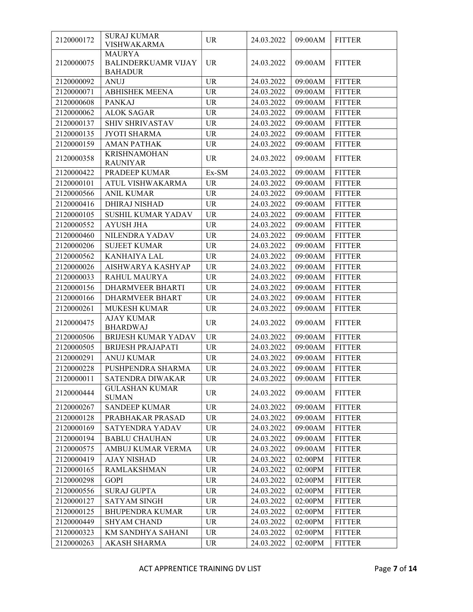| 2120000172 | <b>SURAJ KUMAR</b><br><b>VISHWAKARMA</b>                      | UR.       | 24.03.2022 | 09:00AM | <b>FITTER</b> |
|------------|---------------------------------------------------------------|-----------|------------|---------|---------------|
| 2120000075 | <b>MAURYA</b><br><b>BALINDERKUAMR VIJAY</b><br><b>BAHADUR</b> | <b>UR</b> | 24.03.2022 | 09:00AM | <b>FITTER</b> |
| 2120000092 | <b>ANUJ</b>                                                   | <b>UR</b> | 24.03.2022 | 09:00AM | <b>FITTER</b> |
| 2120000071 | <b>ABHISHEK MEENA</b>                                         | <b>UR</b> | 24.03.2022 | 09:00AM | <b>FITTER</b> |
| 2120000608 | <b>PANKAJ</b>                                                 | <b>UR</b> | 24.03.2022 | 09:00AM | <b>FITTER</b> |
| 2120000062 | <b>ALOK SAGAR</b>                                             | <b>UR</b> | 24.03.2022 | 09:00AM | <b>FITTER</b> |
| 2120000137 | SHIV SHRIVASTAV                                               | <b>UR</b> | 24.03.2022 | 09:00AM | <b>FITTER</b> |
| 2120000135 | <b>JYOTI SHARMA</b>                                           | <b>UR</b> | 24.03.2022 | 09:00AM | <b>FITTER</b> |
| 2120000159 | <b>AMAN PATHAK</b>                                            | <b>UR</b> | 24.03.2022 | 09:00AM | <b>FITTER</b> |
| 2120000358 | <b>KRISHNAMOHAN</b><br><b>RAUNIYAR</b>                        | <b>UR</b> | 24.03.2022 | 09:00AM | <b>FITTER</b> |
| 2120000422 | PRADEEP KUMAR                                                 | Ex-SM     | 24.03.2022 | 09:00AM | <b>FITTER</b> |
| 2120000101 | ATUL VISHWAKARMA                                              | <b>UR</b> | 24.03.2022 | 09:00AM | <b>FITTER</b> |
| 2120000566 | <b>ANIL KUMAR</b>                                             | <b>UR</b> | 24.03.2022 | 09:00AM | <b>FITTER</b> |
| 2120000416 | DHIRAJ NISHAD                                                 | <b>UR</b> | 24.03.2022 | 09:00AM | <b>FITTER</b> |
| 2120000105 | SUSHIL KUMAR YADAV                                            | <b>UR</b> | 24.03.2022 | 09:00AM | <b>FITTER</b> |
| 2120000552 | <b>AYUSH JHA</b>                                              | <b>UR</b> | 24.03.2022 | 09:00AM | <b>FITTER</b> |
| 2120000460 | NILENDRA YADAV                                                | UR        | 24.03.2022 | 09:00AM | <b>FITTER</b> |
| 2120000206 | <b>SUJEET KUMAR</b>                                           | <b>UR</b> | 24.03.2022 | 09:00AM | <b>FITTER</b> |
| 2120000562 | KANHAIYA LAL                                                  | <b>UR</b> | 24.03.2022 | 09:00AM | <b>FITTER</b> |
| 2120000026 | AISHWARYA KASHYAP                                             | <b>UR</b> | 24.03.2022 | 09:00AM | <b>FITTER</b> |
| 2120000033 | <b>RAHUL MAURYA</b>                                           | <b>UR</b> | 24.03.2022 | 09:00AM | <b>FITTER</b> |
| 2120000156 | <b>DHARMVEER BHARTI</b>                                       | <b>UR</b> | 24.03.2022 | 09:00AM | <b>FITTER</b> |
| 2120000166 | <b>DHARMVEER BHART</b>                                        | <b>UR</b> | 24.03.2022 | 09:00AM | <b>FITTER</b> |
| 2120000261 | <b>MUKESH KUMAR</b>                                           | <b>UR</b> | 24.03.2022 | 09:00AM | <b>FITTER</b> |
| 2120000475 | <b>AJAY KUMAR</b><br><b>BHARDWAJ</b>                          | <b>UR</b> | 24.03.2022 | 09:00AM | <b>FITTER</b> |
| 2120000506 | <b>BRIJESH KUMAR YADAV</b>                                    | <b>UR</b> | 24.03.2022 | 09:00AM | <b>FITTER</b> |
| 2120000505 | <b>BRIJESH PRAJAPATI</b>                                      | UR        | 24.03.2022 | 09:00AM | <b>FITTER</b> |
| 2120000291 | <b>ANUJ KUMAR</b>                                             | <b>UR</b> | 24.03.2022 | 09:00AM | <b>FITTER</b> |
| 2120000228 | PUSHPENDRA SHARMA                                             | <b>UR</b> | 24.03.2022 | 09:00AM | <b>FITTER</b> |
| 2120000011 | SATENDRA DIWAKAR                                              | UR.       | 24.03.2022 | 09:00AM | <b>FITTER</b> |
| 2120000444 | <b>GULASHAN KUMAR</b><br><b>SUMAN</b>                         | <b>UR</b> | 24.03.2022 | 09:00AM | <b>FITTER</b> |
| 2120000267 | <b>SANDEEP KUMAR</b>                                          | <b>UR</b> | 24.03.2022 | 09:00AM | <b>FITTER</b> |
| 2120000128 | PRABHAKAR PRASAD                                              | <b>UR</b> | 24.03.2022 | 09:00AM | <b>FITTER</b> |
| 2120000169 | SATYENDRA YADAV                                               | <b>UR</b> | 24.03.2022 | 09:00AM | <b>FITTER</b> |
| 2120000194 | <b>BABLU CHAUHAN</b>                                          | <b>UR</b> | 24.03.2022 | 09:00AM | <b>FITTER</b> |
| 2120000575 | AMBUJ KUMAR VERMA                                             | <b>UR</b> | 24.03.2022 | 09:00AM | <b>FITTER</b> |
| 2120000419 | <b>AJAY NISHAD</b>                                            | <b>UR</b> | 24.03.2022 | 02:00PM | <b>FITTER</b> |
| 2120000165 | <b>RAMLAKSHMAN</b>                                            | <b>UR</b> | 24.03.2022 | 02:00PM | <b>FITTER</b> |
| 2120000298 | <b>GOPI</b>                                                   | <b>UR</b> | 24.03.2022 | 02:00PM | <b>FITTER</b> |
| 2120000556 | <b>SURAJ GUPTA</b>                                            | <b>UR</b> | 24.03.2022 | 02:00PM | <b>FITTER</b> |
| 2120000127 | <b>SATYAM SINGH</b>                                           | <b>UR</b> | 24.03.2022 | 02:00PM | <b>FITTER</b> |
| 2120000125 | <b>BHUPENDRA KUMAR</b>                                        | <b>UR</b> | 24.03.2022 | 02:00PM | <b>FITTER</b> |
| 2120000449 | <b>SHYAM CHAND</b>                                            | <b>UR</b> | 24.03.2022 | 02:00PM | <b>FITTER</b> |
| 2120000323 | KM SANDHYA SAHANI                                             | <b>UR</b> | 24.03.2022 | 02:00PM | <b>FITTER</b> |
| 2120000263 | <b>AKASH SHARMA</b>                                           | UR        | 24.03.2022 | 02:00PM | <b>FITTER</b> |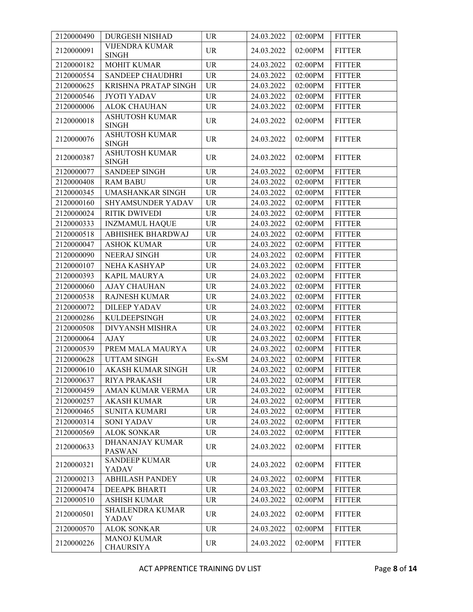| 2120000490 | <b>DURGESH NISHAD</b>                   | <b>UR</b>                         | 24.03.2022 | 02:00PM | <b>FITTER</b> |
|------------|-----------------------------------------|-----------------------------------|------------|---------|---------------|
| 2120000091 | <b>VIJENDRA KUMAR</b><br><b>SINGH</b>   | <b>UR</b>                         | 24.03.2022 | 02:00PM | <b>FITTER</b> |
| 2120000182 | <b>MOHIT KUMAR</b>                      | <b>UR</b>                         | 24.03.2022 | 02:00PM | <b>FITTER</b> |
| 2120000554 | <b>SANDEEP CHAUDHRI</b>                 | <b>UR</b>                         | 24.03.2022 | 02:00PM | <b>FITTER</b> |
| 2120000625 | <b>KRISHNA PRATAP SINGH</b>             | $\ensuremath{\mathsf{UR}}\xspace$ | 24.03.2022 | 02:00PM | <b>FITTER</b> |
| 2120000546 | <b>JYOTI YADAV</b>                      | <b>UR</b>                         | 24.03.2022 | 02:00PM | <b>FITTER</b> |
| 2120000006 | <b>ALOK CHAUHAN</b>                     | <b>UR</b>                         | 24.03.2022 | 02:00PM | <b>FITTER</b> |
| 2120000018 | <b>ASHUTOSH KUMAR</b><br><b>SINGH</b>   | $\ensuremath{\mathsf{UR}}\xspace$ | 24.03.2022 | 02:00PM | <b>FITTER</b> |
| 2120000076 | <b>ASHUTOSH KUMAR</b><br><b>SINGH</b>   | <b>UR</b>                         | 24.03.2022 | 02:00PM | <b>FITTER</b> |
| 2120000387 | <b>ASHUTOSH KUMAR</b><br><b>SINGH</b>   | <b>UR</b>                         | 24.03.2022 | 02:00PM | <b>FITTER</b> |
| 2120000077 | <b>SANDEEP SINGH</b>                    | <b>UR</b>                         | 24.03.2022 | 02:00PM | <b>FITTER</b> |
| 2120000408 | <b>RAM BABU</b>                         | <b>UR</b>                         | 24.03.2022 | 02:00PM | <b>FITTER</b> |
| 2120000345 | <b>UMASHANKAR SINGH</b>                 | <b>UR</b>                         | 24.03.2022 | 02:00PM | <b>FITTER</b> |
| 2120000160 | SHYAMSUNDER YADAV                       | <b>UR</b>                         | 24.03.2022 | 02:00PM | <b>FITTER</b> |
| 2120000024 | RITIK DWIVEDI                           | <b>UR</b>                         | 24.03.2022 | 02:00PM | <b>FITTER</b> |
| 2120000333 | <b>INZMAMUL HAQUE</b>                   | <b>UR</b>                         | 24.03.2022 | 02:00PM | <b>FITTER</b> |
| 2120000518 | ABHISHEK BHARDWAJ                       | <b>UR</b>                         | 24.03.2022 | 02:00PM | <b>FITTER</b> |
| 2120000047 | <b>ASHOK KUMAR</b>                      | <b>UR</b>                         | 24.03.2022 | 02:00PM | <b>FITTER</b> |
| 2120000090 | <b>NEERAJ SINGH</b>                     | <b>UR</b>                         | 24.03.2022 | 02:00PM | <b>FITTER</b> |
| 2120000107 | NEHA KASHYAP                            | <b>UR</b>                         | 24.03.2022 | 02:00PM | <b>FITTER</b> |
| 2120000393 | KAPIL MAURYA                            | <b>UR</b>                         | 24.03.2022 | 02:00PM | <b>FITTER</b> |
| 2120000060 | <b>AJAY CHAUHAN</b>                     | <b>UR</b>                         | 24.03.2022 | 02:00PM | <b>FITTER</b> |
| 2120000538 | RAJNESH KUMAR                           | <b>UR</b>                         | 24.03.2022 | 02:00PM | <b>FITTER</b> |
| 2120000072 | <b>DILEEP YADAV</b>                     | <b>UR</b>                         | 24.03.2022 | 02:00PM | <b>FITTER</b> |
| 2120000286 | <b>KULDEEPSINGH</b>                     | $\ensuremath{\mathsf{UR}}\xspace$ | 24.03.2022 | 02:00PM | <b>FITTER</b> |
| 2120000508 | DIVYANSH MISHRA                         | <b>UR</b>                         | 24.03.2022 | 02:00PM | <b>FITTER</b> |
| 2120000064 | <b>AJAY</b>                             | <b>UR</b>                         | 24.03.2022 | 02:00PM | <b>FITTER</b> |
| 2120000539 | PREM MALA MAURYA                        | <b>UR</b>                         | 24.03.2022 | 02:00PM | <b>FITTER</b> |
| 2120000628 | <b>UTTAM SINGH</b>                      | Ex-SM                             | 24.03.2022 | 02:00PM | <b>FITTER</b> |
| 2120000610 | AKASH KUMAR SINGH                       | <b>UR</b>                         | 24.03.2022 | 02:00PM | <b>FITTER</b> |
| 2120000637 | RIYA PRAKASH                            | <b>UR</b>                         | 24.03.2022 | 02:00PM | <b>FITTER</b> |
| 2120000459 | AMAN KUMAR VERMA                        | <b>UR</b>                         | 24.03.2022 | 02:00PM | <b>FITTER</b> |
| 2120000257 | <b>AKASH KUMAR</b>                      | <b>UR</b>                         | 24.03.2022 | 02:00PM | <b>FITTER</b> |
| 2120000465 | <b>SUNITA KUMARI</b>                    | <b>UR</b>                         | 24.03.2022 | 02:00PM | <b>FITTER</b> |
| 2120000314 | <b>SONI YADAV</b>                       | <b>UR</b>                         | 24.03.2022 | 02:00PM | <b>FITTER</b> |
| 2120000569 | <b>ALOK SONKAR</b>                      | <b>UR</b>                         | 24.03.2022 | 02:00PM | <b>FITTER</b> |
| 2120000633 | <b>DHANANJAY KUMAR</b><br><b>PASWAN</b> | <b>UR</b>                         | 24.03.2022 | 02:00PM | <b>FITTER</b> |
| 2120000321 | <b>SANDEEP KUMAR</b><br>YADAV           | <b>UR</b>                         | 24.03.2022 | 02:00PM | <b>FITTER</b> |
| 2120000213 | <b>ABHILASH PANDEY</b>                  | <b>UR</b>                         | 24.03.2022 | 02:00PM | <b>FITTER</b> |
| 2120000474 | <b>DEEAPK BHARTI</b>                    | $\ensuremath{\mathsf{UR}}\xspace$ | 24.03.2022 | 02:00PM | <b>FITTER</b> |
| 2120000510 | <b>ASHISH KUMAR</b>                     | <b>UR</b>                         | 24.03.2022 | 02:00PM | <b>FITTER</b> |
| 2120000501 | <b>SHAILENDRA KUMAR</b><br>YADAV        | <b>UR</b>                         | 24.03.2022 | 02:00PM | <b>FITTER</b> |
| 2120000570 | <b>ALOK SONKAR</b>                      | <b>UR</b>                         | 24.03.2022 | 02:00PM | <b>FITTER</b> |
| 2120000226 | <b>MANOJ KUMAR</b><br><b>CHAURSIYA</b>  | <b>UR</b>                         | 24.03.2022 | 02:00PM | <b>FITTER</b> |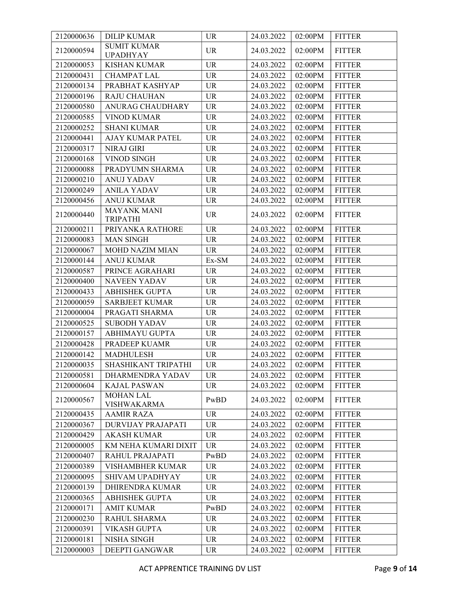| 2120000636 | <b>DILIP KUMAR</b>                    | <b>UR</b> | 24.03.2022 | 02:00PM    | <b>FITTER</b> |
|------------|---------------------------------------|-----------|------------|------------|---------------|
| 2120000594 | <b>SUMIT KUMAR</b><br><b>UPADHYAY</b> | <b>UR</b> | 24.03.2022 | 02:00PM    | <b>FITTER</b> |
| 2120000053 | <b>KISHAN KUMAR</b>                   | <b>UR</b> | 24.03.2022 | 02:00PM    | <b>FITTER</b> |
| 2120000431 | <b>CHAMPAT LAL</b>                    | <b>UR</b> | 24.03.2022 | 02:00PM    | <b>FITTER</b> |
| 2120000134 | PRABHAT KASHYAP                       | <b>UR</b> | 24.03.2022 | 02:00PM    | <b>FITTER</b> |
| 2120000196 | <b>RAJU CHAUHAN</b>                   | <b>UR</b> | 24.03.2022 | 02:00PM    | <b>FITTER</b> |
| 2120000580 | ANURAG CHAUDHARY                      | <b>UR</b> | 24.03.2022 | 02:00PM    | <b>FITTER</b> |
| 2120000585 | <b>VINOD KUMAR</b>                    | <b>UR</b> | 24.03.2022 | 02:00PM    | <b>FITTER</b> |
| 2120000252 | <b>SHANI KUMAR</b>                    | <b>UR</b> | 24.03.2022 | 02:00PM    | <b>FITTER</b> |
| 2120000441 | AJAY KUMAR PATEL                      | <b>UR</b> | 24.03.2022 | 02:00PM    | <b>FITTER</b> |
| 2120000317 | <b>NIRAJ GIRI</b>                     | <b>UR</b> | 24.03.2022 | 02:00PM    | <b>FITTER</b> |
| 2120000168 | VINOD SINGH                           | <b>UR</b> | 24.03.2022 | 02:00PM    | <b>FITTER</b> |
| 2120000088 | PRADYUMN SHARMA                       | <b>UR</b> | 24.03.2022 | 02:00PM    | <b>FITTER</b> |
| 2120000210 | <b>ANUJ YADAV</b>                     | <b>UR</b> | 24.03.2022 | 02:00PM    | <b>FITTER</b> |
| 2120000249 | <b>ANILA YADAV</b>                    | <b>UR</b> | 24.03.2022 | 02:00PM    | <b>FITTER</b> |
| 2120000456 | <b>ANUJ KUMAR</b>                     | <b>UR</b> | 24.03.2022 | 02:00PM    | <b>FITTER</b> |
| 2120000440 | <b>MAYANK MANI</b><br><b>TRIPATHI</b> | <b>UR</b> | 24.03.2022 | 02:00PM    | <b>FITTER</b> |
| 2120000211 | PRIYANKA RATHORE                      | <b>UR</b> | 24.03.2022 | 02:00PM    | <b>FITTER</b> |
| 2120000083 | <b>MAN SINGH</b>                      | <b>UR</b> | 24.03.2022 | 02:00PM    | <b>FITTER</b> |
| 2120000067 | <b>MOHD NAZIM MIAN</b>                | <b>UR</b> | 24.03.2022 | 02:00PM    | <b>FITTER</b> |
| 2120000144 | <b>ANUJ KUMAR</b>                     | Ex-SM     | 24.03.2022 | 02:00PM    | <b>FITTER</b> |
| 2120000587 | PRINCE AGRAHARI                       | <b>UR</b> | 24.03.2022 | 02:00PM    | <b>FITTER</b> |
| 2120000400 | <b>NAVEEN YADAV</b>                   | <b>UR</b> | 24.03.2022 | 02:00PM    | <b>FITTER</b> |
| 2120000433 | <b>ABHISHEK GUPTA</b>                 | <b>UR</b> | 24.03.2022 | 02:00PM    | <b>FITTER</b> |
| 2120000059 | <b>SARBJEET KUMAR</b>                 | <b>UR</b> | 24.03.2022 | 02:00PM    | <b>FITTER</b> |
| 2120000004 | PRAGATI SHARMA                        | <b>UR</b> | 24.03.2022 | 02:00PM    | <b>FITTER</b> |
| 2120000525 | <b>SUBODH YADAV</b>                   | <b>UR</b> | 24.03.2022 | 02:00PM    | <b>FITTER</b> |
| 2120000157 | ABHIMAYU GUPTA                        | <b>UR</b> | 24.03.2022 | 02:00PM    | <b>FITTER</b> |
| 2120000428 | PRADEEP KUAMR                         | <b>UR</b> | 24.03.2022 | 02:00PM    | <b>FITTER</b> |
| 2120000142 | <b>MADHULESH</b>                      | <b>UR</b> | 24.03.2022 | 02:00PM    | <b>FITTER</b> |
| 2120000035 | SHASHIKANT TRIPATHI                   | <b>UR</b> | 24.03.2022 | 02:00PM    | <b>FITTER</b> |
| 2120000581 | DHARMENDRA YADAV                      | <b>UR</b> | 24.03.2022 | $02:00$ PM | <b>FITTER</b> |
| 2120000604 | <b>KAJAL PASWAN</b>                   | <b>UR</b> | 24.03.2022 | 02:00PM    | <b>FITTER</b> |
| 2120000567 | <b>MOHAN LAL</b><br>VISHWAKARMA       | PwBD      | 24.03.2022 | 02:00PM    | <b>FITTER</b> |
| 2120000435 | <b>AAMIR RAZA</b>                     | <b>UR</b> | 24.03.2022 | 02:00PM    | <b>FITTER</b> |
| 2120000367 | <b>DURVIJAY PRAJAPATI</b>             | <b>UR</b> | 24.03.2022 | 02:00PM    | <b>FITTER</b> |
| 2120000429 | <b>AKASH KUMAR</b>                    | <b>UR</b> | 24.03.2022 | 02:00PM    | <b>FITTER</b> |
| 2120000005 | KM NEHA KUMARI DIXIT                  | <b>UR</b> | 24.03.2022 | 02:00PM    | <b>FITTER</b> |
| 2120000407 | RAHUL PRAJAPATI                       | PwBD      | 24.03.2022 | 02:00PM    | <b>FITTER</b> |
| 2120000389 | VISHAMBHER KUMAR                      | <b>UR</b> | 24.03.2022 | 02:00PM    | <b>FITTER</b> |
| 2120000095 | SHIVAM UPADHYAY                       | <b>UR</b> | 24.03.2022 | 02:00PM    | <b>FITTER</b> |
| 2120000139 | <b>DHIRENDRA KUMAR</b>                | <b>UR</b> | 24.03.2022 | 02:00PM    | <b>FITTER</b> |
| 2120000365 | <b>ABHISHEK GUPTA</b>                 | <b>UR</b> | 24.03.2022 | 02:00PM    | <b>FITTER</b> |
| 2120000171 | <b>AMIT KUMAR</b>                     | PwBD      | 24.03.2022 | 02:00PM    | <b>FITTER</b> |
| 2120000230 | RAHUL SHARMA                          | <b>UR</b> | 24.03.2022 | 02:00PM    | <b>FITTER</b> |
| 2120000391 | <b>VIKASH GUPTA</b>                   | <b>UR</b> | 24.03.2022 | 02:00PM    | <b>FITTER</b> |
| 2120000181 | NISHA SINGH                           | <b>UR</b> | 24.03.2022 | 02:00PM    | <b>FITTER</b> |
| 2120000003 | <b>DEEPTI GANGWAR</b>                 | <b>UR</b> | 24.03.2022 | 02:00PM    | <b>FITTER</b> |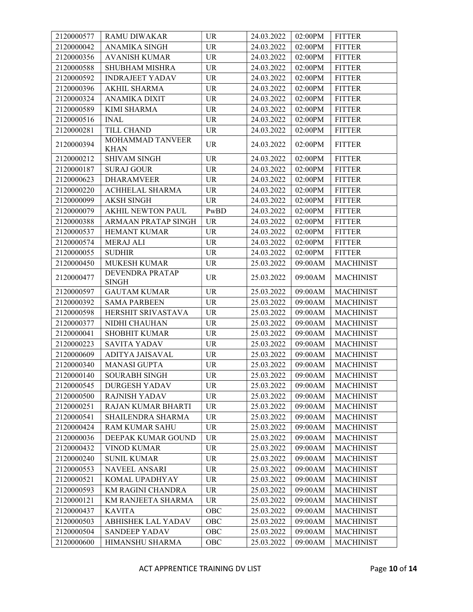| 2120000577 | <b>RAMU DIWAKAR</b>             | <b>UR</b>                         | 24.03.2022 | 02:00PM | <b>FITTER</b>    |
|------------|---------------------------------|-----------------------------------|------------|---------|------------------|
| 2120000042 | <b>ANAMIKA SINGH</b>            | <b>UR</b>                         | 24.03.2022 | 02:00PM | <b>FITTER</b>    |
| 2120000356 | <b>AVANISH KUMAR</b>            | <b>UR</b>                         | 24.03.2022 | 02:00PM | <b>FITTER</b>    |
| 2120000588 | SHUBHAM MISHRA                  | <b>UR</b>                         | 24.03.2022 | 02:00PM | <b>FITTER</b>    |
| 2120000592 | <b>INDRAJEET YADAV</b>          | <b>UR</b>                         | 24.03.2022 | 02:00PM | <b>FITTER</b>    |
| 2120000396 | AKHIL SHARMA                    | <b>UR</b>                         | 24.03.2022 | 02:00PM | <b>FITTER</b>    |
| 2120000324 | <b>ANAMIKA DIXIT</b>            | <b>UR</b>                         | 24.03.2022 | 02:00PM | <b>FITTER</b>    |
| 2120000589 | <b>KIMI SHARMA</b>              | <b>UR</b>                         | 24.03.2022 | 02:00PM | <b>FITTER</b>    |
| 2120000516 | <b>INAL</b>                     | <b>UR</b>                         | 24.03.2022 | 02:00PM | <b>FITTER</b>    |
| 2120000281 | TILL CHAND                      | <b>UR</b>                         | 24.03.2022 | 02:00PM | <b>FITTER</b>    |
| 2120000394 | MOHAMMAD TANVEER<br><b>KHAN</b> | <b>UR</b>                         | 24.03.2022 | 02:00PM | <b>FITTER</b>    |
| 2120000212 | SHIVAM SINGH                    | $\ensuremath{\mathsf{UR}}\xspace$ | 24.03.2022 | 02:00PM | <b>FITTER</b>    |
| 2120000187 | <b>SURAJ GOUR</b>               | <b>UR</b>                         | 24.03.2022 | 02:00PM | <b>FITTER</b>    |
| 2120000623 | <b>DHARAMVEER</b>               | <b>UR</b>                         | 24.03.2022 | 02:00PM | <b>FITTER</b>    |
| 2120000220 | <b>ACHHELAL SHARMA</b>          | <b>UR</b>                         | 24.03.2022 | 02:00PM | <b>FITTER</b>    |
| 2120000099 | <b>AKSH SINGH</b>               | <b>UR</b>                         | 24.03.2022 | 02:00PM | <b>FITTER</b>    |
| 2120000079 | <b>AKHIL NEWTON PAUL</b>        | PwBD                              | 24.03.2022 | 02:00PM | <b>FITTER</b>    |
| 2120000388 | ARMAAN PRATAP SINGH             | <b>UR</b>                         | 24.03.2022 | 02:00PM | <b>FITTER</b>    |
| 2120000537 | <b>HEMANT KUMAR</b>             | <b>UR</b>                         | 24.03.2022 | 02:00PM | <b>FITTER</b>    |
| 2120000574 | <b>MERAJ ALI</b>                | <b>UR</b>                         | 24.03.2022 | 02:00PM | <b>FITTER</b>    |
| 2120000055 | <b>SUDHIR</b>                   | <b>UR</b>                         | 24.03.2022 | 02:00PM | <b>FITTER</b>    |
| 2120000450 | <b>MUKESH KUMAR</b>             | <b>UR</b>                         | 25.03.2022 | 09:00AM | <b>MACHINIST</b> |
| 2120000477 | DEVENDRA PRATAP<br><b>SINGH</b> | <b>UR</b>                         | 25.03.2022 | 09:00AM | <b>MACHINIST</b> |
| 2120000597 | <b>GAUTAM KUMAR</b>             | <b>UR</b>                         | 25.03.2022 | 09:00AM | <b>MACHINIST</b> |
| 2120000392 | <b>SAMA PARBEEN</b>             | <b>UR</b>                         | 25.03.2022 | 09:00AM | <b>MACHINIST</b> |
| 2120000598 | HERSHIT SRIVASTAVA              | <b>UR</b>                         | 25.03.2022 | 09:00AM | <b>MACHINIST</b> |
| 2120000377 | NIDHI CHAUHAN                   | <b>UR</b>                         | 25.03.2022 | 09:00AM | <b>MACHINIST</b> |
| 2120000041 | <b>SHOBHIT KUMAR</b>            | <b>UR</b>                         | 25.03.2022 | 09:00AM | <b>MACHINIST</b> |
| 2120000223 | <b>SAVITA YADAV</b>             | $\ensuremath{\mathsf{UR}}\xspace$ | 25.03.2022 | 09:00AM | <b>MACHINIST</b> |
| 2120000609 | ADITYA JAISAVAL                 | <b>UR</b>                         | 25.03.2022 | 09:00AM | <b>MACHINIST</b> |
| 2120000340 | <b>MANASI GUPTA</b>             | <b>UR</b>                         | 25.03.2022 | 09:00AM | <b>MACHINIST</b> |
| 2120000140 | <b>SOURABH SINGH</b>            | <b>UR</b>                         | 25.03.2022 | 09:00AM | <b>MACHINIST</b> |
| 2120000545 | DURGESH YADAV                   | <b>UR</b>                         | 25.03.2022 | 09:00AM | <b>MACHINIST</b> |
| 2120000500 | <b>RAJNISH YADAV</b>            | <b>UR</b>                         | 25.03.2022 | 09:00AM | <b>MACHINIST</b> |
| 2120000251 | <b>RAJAN KUMAR BHARTI</b>       | <b>UR</b>                         | 25.03.2022 | 09:00AM | <b>MACHINIST</b> |
| 2120000541 | SHAILENDRA SHARMA               | <b>UR</b>                         | 25.03.2022 | 09:00AM | <b>MACHINIST</b> |
| 2120000424 | <b>RAM KUMAR SAHU</b>           | <b>UR</b>                         | 25.03.2022 | 09:00AM | <b>MACHINIST</b> |
| 2120000036 | DEEPAK KUMAR GOUND              | <b>UR</b>                         | 25.03.2022 | 09:00AM | <b>MACHINIST</b> |
| 2120000432 | VINOD KUMAR                     | <b>UR</b>                         | 25.03.2022 | 09:00AM | <b>MACHINIST</b> |
| 2120000240 | <b>SUNIL KUMAR</b>              | <b>UR</b>                         | 25.03.2022 | 09:00AM | <b>MACHINIST</b> |
| 2120000553 | NAVEEL ANSARI                   | <b>UR</b>                         | 25.03.2022 | 09:00AM | <b>MACHINIST</b> |
| 2120000521 | KOMAL UPADHYAY                  | <b>UR</b>                         | 25.03.2022 | 09:00AM | <b>MACHINIST</b> |
| 2120000593 | KM RAGINI CHANDRA               | <b>UR</b>                         | 25.03.2022 | 09:00AM | <b>MACHINIST</b> |
| 2120000121 | KM RANJEETA SHARMA              | <b>UR</b>                         | 25.03.2022 | 09:00AM | <b>MACHINIST</b> |
| 2120000437 | <b>KAVITA</b>                   | OBC                               | 25.03.2022 | 09:00AM | <b>MACHINIST</b> |
| 2120000503 | <b>ABHISHEK LAL YADAV</b>       | OBC                               | 25.03.2022 | 09:00AM | <b>MACHINIST</b> |
| 2120000504 | <b>SANDEEP YADAV</b>            | OBC                               | 25.03.2022 | 09:00AM | <b>MACHINIST</b> |
| 2120000600 | HIMANSHU SHARMA                 | OBC                               | 25.03.2022 | 09:00AM | <b>MACHINIST</b> |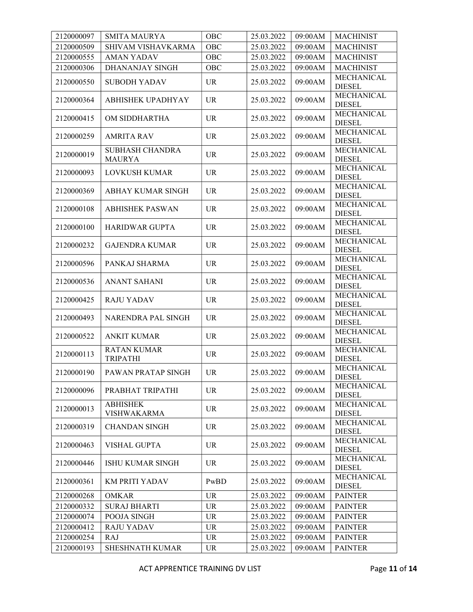| 2120000097 | <b>SMITA MAURYA</b>                     | OBC       | 25.03.2022 | 09:00AM | <b>MACHINIST</b>                   |
|------------|-----------------------------------------|-----------|------------|---------|------------------------------------|
| 2120000509 | SHIVAM VISHAVKARMA                      | OBC       | 25.03.2022 | 09:00AM | <b>MACHINIST</b>                   |
| 2120000555 | <b>AMAN YADAV</b>                       | OBC       | 25.03.2022 | 09:00AM | <b>MACHINIST</b>                   |
| 2120000306 | DHANANJAY SINGH                         | OBC       | 25.03.2022 | 09:00AM | <b>MACHINIST</b>                   |
| 2120000550 | <b>SUBODH YADAV</b>                     | <b>UR</b> | 25.03.2022 | 09:00AM | MECHANICAL<br><b>DIESEL</b>        |
| 2120000364 | <b>ABHISHEK UPADHYAY</b>                | <b>UR</b> | 25.03.2022 | 09:00AM | MECHANICAL<br><b>DIESEL</b>        |
| 2120000415 | OM SIDDHARTHA                           | <b>UR</b> | 25.03.2022 | 09:00AM | <b>MECHANICAL</b><br><b>DIESEL</b> |
| 2120000259 | <b>AMRITA RAV</b>                       | <b>UR</b> | 25.03.2022 | 09:00AM | MECHANICAL<br><b>DIESEL</b>        |
| 2120000019 | <b>SUBHASH CHANDRA</b><br><b>MAURYA</b> | <b>UR</b> | 25.03.2022 | 09:00AM | MECHANICAL<br><b>DIESEL</b>        |
| 2120000093 | LOVKUSH KUMAR                           | <b>UR</b> | 25.03.2022 | 09:00AM | MECHANICAL<br><b>DIESEL</b>        |
| 2120000369 | ABHAY KUMAR SINGH                       | <b>UR</b> | 25.03.2022 | 09:00AM | MECHANICAL<br><b>DIESEL</b>        |
| 2120000108 | <b>ABHISHEK PASWAN</b>                  | <b>UR</b> | 25.03.2022 | 09:00AM | MECHANICAL<br><b>DIESEL</b>        |
| 2120000100 | <b>HARIDWAR GUPTA</b>                   | <b>UR</b> | 25.03.2022 | 09:00AM | MECHANICAL<br><b>DIESEL</b>        |
| 2120000232 | <b>GAJENDRA KUMAR</b>                   | <b>UR</b> | 25.03.2022 | 09:00AM | <b>MECHANICAL</b><br><b>DIESEL</b> |
| 2120000596 | PANKAJ SHARMA                           | <b>UR</b> | 25.03.2022 | 09:00AM | MECHANICAL<br><b>DIESEL</b>        |
| 2120000536 | <b>ANANT SAHANI</b>                     | <b>UR</b> | 25.03.2022 | 09:00AM | MECHANICAL<br><b>DIESEL</b>        |
| 2120000425 | <b>RAJU YADAV</b>                       | <b>UR</b> | 25.03.2022 | 09:00AM | MECHANICAL<br><b>DIESEL</b>        |
| 2120000493 | NARENDRA PAL SINGH                      | <b>UR</b> | 25.03.2022 | 09:00AM | MECHANICAL<br><b>DIESEL</b>        |
| 2120000522 | <b>ANKIT KUMAR</b>                      | <b>UR</b> | 25.03.2022 | 09:00AM | MECHANICAL<br><b>DIESEL</b>        |
| 2120000113 | <b>RATAN KUMAR</b><br><b>TRIPATHI</b>   | <b>UR</b> | 25.03.2022 | 09:00AM | MECHANICAL<br><b>DIESEL</b>        |
| 2120000190 | PAWAN PRATAP SINGH                      | <b>UR</b> | 25.03.2022 | 09:00AM | MECHANICAL<br><b>DIESEL</b>        |
| 2120000096 | PRABHAT TRIPATHI                        | <b>UR</b> | 25.03.2022 | 09:00AM | MECHANICAL<br><b>DIESEL</b>        |
| 2120000013 | <b>ABHISHEK</b><br><b>VISHWAKARMA</b>   | <b>UR</b> | 25.03.2022 | 09:00AM | MECHANICAL<br><b>DIESEL</b>        |
| 2120000319 | <b>CHANDAN SINGH</b>                    | <b>UR</b> | 25.03.2022 | 09:00AM | MECHANICAL<br><b>DIESEL</b>        |
| 2120000463 | <b>VISHAL GUPTA</b>                     | <b>UR</b> | 25.03.2022 | 09:00AM | MECHANICAL<br><b>DIESEL</b>        |
| 2120000446 | <b>ISHU KUMAR SINGH</b>                 | <b>UR</b> | 25.03.2022 | 09:00AM | MECHANICAL<br><b>DIESEL</b>        |
| 2120000361 | <b>KM PRITI YADAV</b>                   | PwBD      | 25.03.2022 | 09:00AM | MECHANICAL<br><b>DIESEL</b>        |
| 2120000268 | <b>OMKAR</b>                            | <b>UR</b> | 25.03.2022 | 09:00AM | <b>PAINTER</b>                     |
| 2120000332 | <b>SURAJ BHARTI</b>                     | <b>UR</b> | 25.03.2022 | 09:00AM | <b>PAINTER</b>                     |
| 2120000074 | POOJA SINGH                             | <b>UR</b> | 25.03.2022 | 09:00AM | <b>PAINTER</b>                     |
| 2120000412 | <b>RAJU YADAV</b>                       | <b>UR</b> | 25.03.2022 | 09:00AM | <b>PAINTER</b>                     |
| 2120000254 | <b>RAJ</b>                              | <b>UR</b> | 25.03.2022 | 09:00AM | <b>PAINTER</b>                     |
| 2120000193 | <b>SHESHNATH KUMAR</b>                  | <b>UR</b> | 25.03.2022 | 09:00AM | <b>PAINTER</b>                     |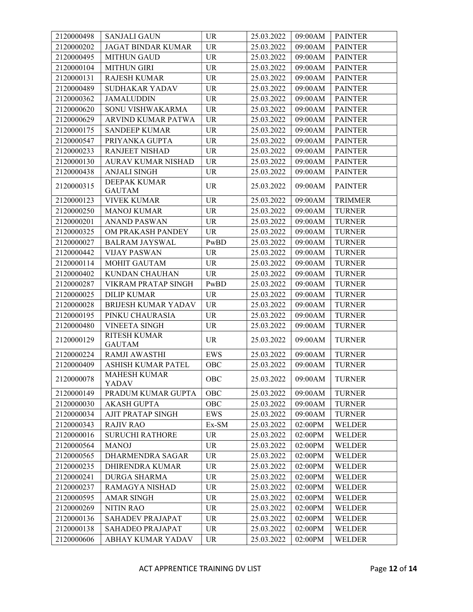| 2120000498 | <b>SANJALI GAUN</b>                  | <b>UR</b>                         | 25.03.2022 | 09:00AM | <b>PAINTER</b> |
|------------|--------------------------------------|-----------------------------------|------------|---------|----------------|
| 2120000202 | <b>JAGAT BINDAR KUMAR</b>            | <b>UR</b>                         | 25.03.2022 | 09:00AM | <b>PAINTER</b> |
| 2120000495 | <b>MITHUN GAUD</b>                   | <b>UR</b>                         | 25.03.2022 | 09:00AM | <b>PAINTER</b> |
| 2120000104 | <b>MITHUN GIRI</b>                   | <b>UR</b>                         | 25.03.2022 | 09:00AM | <b>PAINTER</b> |
| 2120000131 | <b>RAJESH KUMAR</b>                  | UR                                | 25.03.2022 | 09:00AM | <b>PAINTER</b> |
| 2120000489 | SUDHAKAR YADAV                       | <b>UR</b>                         | 25.03.2022 | 09:00AM | <b>PAINTER</b> |
| 2120000362 | <b>JAMALUDDIN</b>                    | <b>UR</b>                         | 25.03.2022 | 09:00AM | <b>PAINTER</b> |
| 2120000620 | SONU VISHWAKARMA                     | <b>UR</b>                         | 25.03.2022 | 09:00AM | <b>PAINTER</b> |
| 2120000629 | ARVIND KUMAR PATWA                   | <b>UR</b>                         | 25.03.2022 | 09:00AM | <b>PAINTER</b> |
| 2120000175 | <b>SANDEEP KUMAR</b>                 | <b>UR</b>                         | 25.03.2022 | 09:00AM | <b>PAINTER</b> |
| 2120000547 | PRIYANKA GUPTA                       | $\ensuremath{\mathsf{UR}}\xspace$ | 25.03.2022 | 09:00AM | <b>PAINTER</b> |
| 2120000233 | <b>RANJEET NISHAD</b>                | <b>UR</b>                         | 25.03.2022 | 09:00AM | <b>PAINTER</b> |
| 2120000130 | <b>AURAV KUMAR NISHAD</b>            | <b>UR</b>                         | 25.03.2022 | 09:00AM | <b>PAINTER</b> |
| 2120000438 | <b>ANJALI SINGH</b>                  | <b>UR</b>                         | 25.03.2022 | 09:00AM | <b>PAINTER</b> |
| 2120000315 | <b>DEEPAK KUMAR</b>                  | <b>UR</b>                         |            | 09:00AM |                |
|            | <b>GAUTAM</b>                        |                                   | 25.03.2022 |         | <b>PAINTER</b> |
| 2120000123 | <b>VIVEK KUMAR</b>                   | <b>UR</b>                         | 25.03.2022 | 09:00AM | <b>TRIMMER</b> |
| 2120000250 | <b>MANOJ KUMAR</b>                   | <b>UR</b>                         | 25.03.2022 | 09:00AM | <b>TURNER</b>  |
| 2120000201 | <b>ANAND PASWAN</b>                  | <b>UR</b>                         | 25.03.2022 | 09:00AM | <b>TURNER</b>  |
| 2120000325 | OM PRAKASH PANDEY                    | <b>UR</b>                         | 25.03.2022 | 09:00AM | <b>TURNER</b>  |
| 2120000027 | <b>BALRAM JAYSWAL</b>                | PwBD                              | 25.03.2022 | 09:00AM | <b>TURNER</b>  |
| 2120000442 | <b>VIJAY PASWAN</b>                  | <b>UR</b>                         | 25.03.2022 | 09:00AM | <b>TURNER</b>  |
| 2120000114 | <b>MOHIT GAUTAM</b>                  | <b>UR</b>                         | 25.03.2022 | 09:00AM | <b>TURNER</b>  |
| 2120000402 | KUNDAN CHAUHAN                       | <b>UR</b>                         | 25.03.2022 | 09:00AM | <b>TURNER</b>  |
| 2120000287 | VIKRAM PRATAP SINGH                  | PwBD                              | 25.03.2022 | 09:00AM | <b>TURNER</b>  |
| 2120000025 | <b>DILIP KUMAR</b>                   | <b>UR</b>                         | 25.03.2022 | 09:00AM | <b>TURNER</b>  |
| 2120000028 | <b>BRIJESH KUMAR YADAV</b>           | <b>UR</b>                         | 25.03.2022 | 09:00AM | <b>TURNER</b>  |
| 2120000195 | PINKU CHAURASIA                      | <b>UR</b>                         | 25.03.2022 | 09:00AM | <b>TURNER</b>  |
| 2120000480 | <b>VINEETA SINGH</b>                 | <b>UR</b>                         | 25.03.2022 | 09:00AM | <b>TURNER</b>  |
| 2120000129 | <b>RITESH KUMAR</b><br><b>GAUTAM</b> | <b>UR</b>                         | 25.03.2022 | 09:00AM | <b>TURNER</b>  |
| 2120000224 | RAMJI AWASTHI                        | EWS                               | 25.03.2022 | 09:00AM | <b>TURNER</b>  |
| 2120000409 | <b>ASHISH KUMAR PATEL</b>            | OBC                               | 25.03.2022 | 09:00AM | <b>TURNER</b>  |
| 2120000078 | <b>MAHESH KUMAR</b><br>YADAV         | <b>OBC</b>                        | 25.03.2022 | 09:00AM | <b>TURNER</b>  |
| 2120000149 | PRADUM KUMAR GUPTA                   | OBC                               | 25.03.2022 | 09:00AM | <b>TURNER</b>  |
| 2120000030 | <b>AKASH GUPTA</b>                   | OBC                               | 25.03.2022 | 09:00AM | <b>TURNER</b>  |
| 2120000034 | AJIT PRATAP SINGH                    | EWS                               | 25.03.2022 | 09:00AM | <b>TURNER</b>  |
| 2120000343 | <b>RAJIV RAO</b>                     | Ex-SM                             | 25.03.2022 | 02:00PM | <b>WELDER</b>  |
| 2120000016 | <b>SURUCHI RATHORE</b>               | UR                                | 25.03.2022 | 02:00PM | <b>WELDER</b>  |
| 2120000564 | <b>MANOJ</b>                         | <b>UR</b>                         | 25.03.2022 | 02:00PM | <b>WELDER</b>  |
| 2120000565 | DHARMENDRA SAGAR                     | <b>UR</b>                         | 25.03.2022 | 02:00PM | WELDER         |
| 2120000235 | DHIRENDRA KUMAR                      | <b>UR</b>                         | 25.03.2022 | 02:00PM | <b>WELDER</b>  |
| 2120000241 | <b>DURGA SHARMA</b>                  | <b>UR</b>                         | 25.03.2022 | 02:00PM | <b>WELDER</b>  |
| 2120000237 | RAMAGYA NISHAD                       | <b>UR</b>                         | 25.03.2022 | 02:00PM | WELDER         |
| 2120000595 | <b>AMAR SINGH</b>                    | <b>UR</b>                         | 25.03.2022 | 02:00PM | WELDER         |
| 2120000269 | <b>NITIN RAO</b>                     | <b>UR</b>                         | 25.03.2022 | 02:00PM | WELDER         |
| 2120000136 | SAHADEV PRAJAPAT                     | <b>UR</b>                         | 25.03.2022 | 02:00PM | WELDER         |
| 2120000138 | SAHADEO PRAJAPAT                     | <b>UR</b>                         | 25.03.2022 | 02:00PM | <b>WELDER</b>  |
| 2120000606 | ABHAY KUMAR YADAV                    | <b>UR</b>                         | 25.03.2022 | 02:00PM | WELDER         |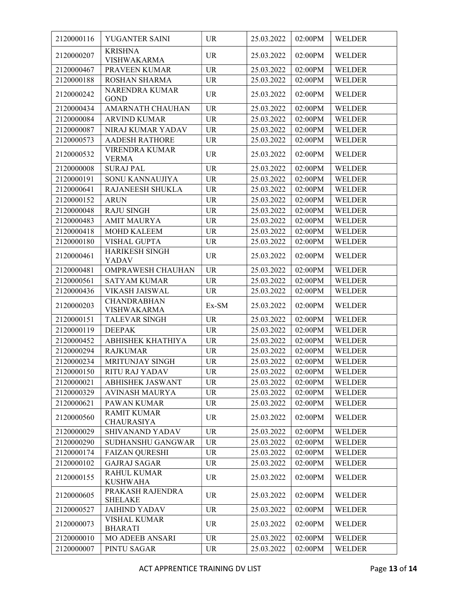| 2120000116 | YUGANTER SAINI                           | <b>UR</b> | 25.03.2022 | 02:00PM | <b>WELDER</b> |
|------------|------------------------------------------|-----------|------------|---------|---------------|
| 2120000207 | <b>KRISHNA</b>                           | <b>UR</b> | 25.03.2022 | 02:00PM | <b>WELDER</b> |
|            | <b>VISHWAKARMA</b>                       |           |            |         |               |
| 2120000467 | PRAVEEN KUMAR                            | <b>UR</b> | 25.03.2022 | 02:00PM | <b>WELDER</b> |
| 2120000188 | ROSHAN SHARMA                            | <b>UR</b> | 25.03.2022 | 02:00PM | <b>WELDER</b> |
| 2120000242 | NARENDRA KUMAR<br><b>GOND</b>            | <b>UR</b> | 25.03.2022 | 02:00PM | <b>WELDER</b> |
| 2120000434 | AMARNATH CHAUHAN                         | <b>UR</b> | 25.03.2022 | 02:00PM | <b>WELDER</b> |
| 2120000084 | <b>ARVIND KUMAR</b>                      | <b>UR</b> | 25.03.2022 | 02:00PM | <b>WELDER</b> |
| 2120000087 | NIRAJ KUMAR YADAV                        | <b>UR</b> | 25.03.2022 | 02:00PM | <b>WELDER</b> |
| 2120000573 | <b>AADESH RATHORE</b>                    | <b>UR</b> | 25.03.2022 | 02:00PM | WELDER        |
| 2120000532 | VIRENDRA KUMAR                           | <b>UR</b> | 25.03.2022 | 02:00PM | <b>WELDER</b> |
|            | <b>VERMA</b>                             |           |            |         |               |
| 2120000008 | <b>SURAJ PAL</b>                         | <b>UR</b> | 25.03.2022 | 02:00PM | <b>WELDER</b> |
| 2120000191 | SONU KANNAUJIYA                          | <b>UR</b> | 25.03.2022 | 02:00PM | <b>WELDER</b> |
| 2120000641 | RAJANEESH SHUKLA                         | <b>UR</b> | 25.03.2022 | 02:00PM | <b>WELDER</b> |
| 2120000152 | <b>ARUN</b>                              | <b>UR</b> | 25.03.2022 | 02:00PM | <b>WELDER</b> |
| 2120000048 | <b>RAJU SINGH</b>                        | UR        | 25.03.2022 | 02:00PM | <b>WELDER</b> |
| 2120000483 | <b>AMIT MAURYA</b>                       | <b>UR</b> | 25.03.2022 | 02:00PM | <b>WELDER</b> |
| 2120000418 | <b>MOHD KALEEM</b>                       | <b>UR</b> | 25.03.2022 | 02:00PM | <b>WELDER</b> |
| 2120000180 | <b>VISHAL GUPTA</b>                      | UR        | 25.03.2022 | 02:00PM | WELDER        |
| 2120000461 | <b>HARIKESH SINGH</b><br><b>YADAV</b>    | <b>UR</b> | 25.03.2022 | 02:00PM | <b>WELDER</b> |
| 2120000481 | OMPRAWESH CHAUHAN                        | <b>UR</b> | 25.03.2022 | 02:00PM | <b>WELDER</b> |
| 2120000561 | <b>SATYAM KUMAR</b>                      | <b>UR</b> | 25.03.2022 | 02:00PM | <b>WELDER</b> |
| 2120000436 | VIKASH JAISWAL                           | <b>UR</b> | 25.03.2022 | 02:00PM | <b>WELDER</b> |
| 2120000203 | <b>CHANDRABHAN</b><br><b>VISHWAKARMA</b> | Ex-SM     | 25.03.2022 | 02:00PM | <b>WELDER</b> |
| 2120000151 | TALEVAR SINGH                            | <b>UR</b> | 25.03.2022 | 02:00PM | <b>WELDER</b> |
| 2120000119 | <b>DEEPAK</b>                            | <b>UR</b> | 25.03.2022 | 02:00PM | <b>WELDER</b> |
| 2120000452 | ABHISHEK KHATHIYA                        | <b>UR</b> | 25.03.2022 | 02:00PM | <b>WELDER</b> |
| 2120000294 | <b>RAJKUMAR</b>                          | <b>UR</b> | 25.03.2022 | 02:00PM | <b>WELDER</b> |
| 2120000234 | MRITUNJAY SINGH                          | <b>UR</b> | 25.03.2022 | 02:00PM | <b>WELDER</b> |
| 2120000150 | RITU RAJ YADAV                           | <b>UR</b> | 25.03.2022 | 02:00PM | <b>WELDER</b> |
| 2120000021 | <b>ABHISHEK JASWANT</b>                  | <b>UR</b> | 25.03.2022 | 02:00PM | <b>WELDER</b> |
| 2120000329 | <b>AVINASH MAURYA</b>                    | <b>UR</b> | 25.03.2022 | 02:00PM | <b>WELDER</b> |
| 2120000621 | PAWAN KUMAR                              | <b>UR</b> | 25.03.2022 | 02:00PM | <b>WELDER</b> |
|            | <b>RAMIT KUMAR</b>                       |           |            |         |               |
| 2120000560 | <b>CHAURASIYA</b>                        | <b>UR</b> | 25.03.2022 | 02:00PM | <b>WELDER</b> |
| 2120000029 | SHIVANAND YADAV                          | <b>UR</b> | 25.03.2022 | 02:00PM | <b>WELDER</b> |
| 2120000290 | SUDHANSHU GANGWAR                        | <b>UR</b> | 25.03.2022 | 02:00PM | <b>WELDER</b> |
| 2120000174 | <b>FAIZAN QURESHI</b>                    | <b>UR</b> | 25.03.2022 | 02:00PM | WELDER        |
| 2120000102 | <b>GAJRAJ SAGAR</b>                      | <b>UR</b> | 25.03.2022 | 02:00PM | <b>WELDER</b> |
| 2120000155 | <b>RAHUL KUMAR</b><br><b>KUSHWAHA</b>    | <b>UR</b> | 25.03.2022 | 02:00PM | <b>WELDER</b> |
| 2120000605 | PRAKASH RAJENDRA<br><b>SHELAKE</b>       | <b>UR</b> | 25.03.2022 | 02:00PM | <b>WELDER</b> |
| 2120000527 | <b>JAIHIND YADAV</b>                     | <b>UR</b> | 25.03.2022 | 02:00PM | <b>WELDER</b> |
| 2120000073 | <b>VISHAL KUMAR</b><br><b>BHARATI</b>    | <b>UR</b> | 25.03.2022 | 02:00PM | <b>WELDER</b> |
| 2120000010 | MO ADEEB ANSARI                          | <b>UR</b> | 25.03.2022 | 02:00PM | WELDER        |
| 2120000007 | PINTU SAGAR                              | <b>UR</b> | 25.03.2022 | 02:00PM | <b>WELDER</b> |